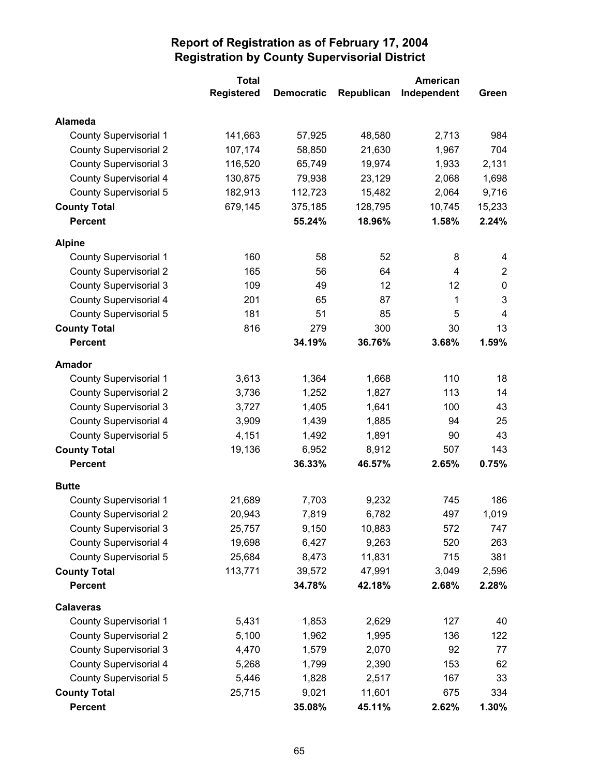|                               | <b>Total</b>      |                   |            | <b>American</b> |                |
|-------------------------------|-------------------|-------------------|------------|-----------------|----------------|
|                               | <b>Registered</b> | <b>Democratic</b> | Republican | Independent     | Green          |
| <b>Alameda</b>                |                   |                   |            |                 |                |
| County Supervisorial 1        | 141,663           | 57,925            | 48,580     | 2,713           | 984            |
| <b>County Supervisorial 2</b> | 107,174           | 58,850            | 21,630     | 1,967           | 704            |
| <b>County Supervisorial 3</b> | 116,520           | 65,749            | 19,974     | 1,933           | 2,131          |
| <b>County Supervisorial 4</b> | 130,875           | 79,938            | 23,129     | 2,068           | 1,698          |
| <b>County Supervisorial 5</b> | 182,913           | 112,723           | 15,482     | 2,064           | 9,716          |
| <b>County Total</b>           | 679,145           | 375,185           | 128,795    | 10,745          | 15,233         |
| <b>Percent</b>                |                   | 55.24%            | 18.96%     | 1.58%           | 2.24%          |
| <b>Alpine</b>                 |                   |                   |            |                 |                |
| <b>County Supervisorial 1</b> | 160               | 58                | 52         | 8               | 4              |
| <b>County Supervisorial 2</b> | 165               | 56                | 64         | 4               | $\overline{2}$ |
| <b>County Supervisorial 3</b> | 109               | 49                | 12         | 12              | $\pmb{0}$      |
| <b>County Supervisorial 4</b> | 201               | 65                | 87         | 1               | 3              |
| <b>County Supervisorial 5</b> | 181               | 51                | 85         | 5               | 4              |
| <b>County Total</b>           | 816               | 279               | 300        | 30              | 13             |
| <b>Percent</b>                |                   | 34.19%            | 36.76%     | 3.68%           | 1.59%          |
| <b>Amador</b>                 |                   |                   |            |                 |                |
| <b>County Supervisorial 1</b> | 3,613             | 1,364             | 1,668      | 110             | 18             |
| <b>County Supervisorial 2</b> | 3,736             | 1,252             | 1,827      | 113             | 14             |
| <b>County Supervisorial 3</b> | 3,727             | 1,405             | 1,641      | 100             | 43             |
| <b>County Supervisorial 4</b> | 3,909             | 1,439             | 1,885      | 94              | 25             |
| <b>County Supervisorial 5</b> | 4,151             | 1,492             | 1,891      | 90              | 43             |
| <b>County Total</b>           | 19,136            | 6,952             | 8,912      | 507             | 143            |
| <b>Percent</b>                |                   | 36.33%            | 46.57%     | 2.65%           | 0.75%          |
| <b>Butte</b>                  |                   |                   |            |                 |                |
| <b>County Supervisorial 1</b> | 21,689            | 7,703             | 9,232      | 745             | 186            |
| <b>County Supervisorial 2</b> | 20,943            | 7,819             | 6,782      | 497             | 1,019          |
| <b>County Supervisorial 3</b> | 25,757            | 9,150             | 10,883     | 572             | 747            |
| <b>County Supervisorial 4</b> | 19,698            | 6,427             | 9,263      | 520             | 263            |
| <b>County Supervisorial 5</b> | 25,684            | 8,473             | 11,831     | 715             | 381            |
| <b>County Total</b>           | 113,771           | 39,572            | 47,991     | 3,049           | 2,596          |
| <b>Percent</b>                |                   | 34.78%            | 42.18%     | 2.68%           | 2.28%          |
| <b>Calaveras</b>              |                   |                   |            |                 |                |
| <b>County Supervisorial 1</b> | 5,431             | 1,853             | 2,629      | 127             | 40             |
| <b>County Supervisorial 2</b> | 5,100             | 1,962             | 1,995      | 136             | 122            |
| <b>County Supervisorial 3</b> | 4,470             | 1,579             | 2,070      | 92              | 77             |
| <b>County Supervisorial 4</b> | 5,268             | 1,799             | 2,390      | 153             | 62             |
| <b>County Supervisorial 5</b> | 5,446             | 1,828             | 2,517      | 167             | 33             |
| <b>County Total</b>           | 25,715            | 9,021             | 11,601     | 675             | 334            |
| <b>Percent</b>                |                   | 35.08%            | 45.11%     | 2.62%           | 1.30%          |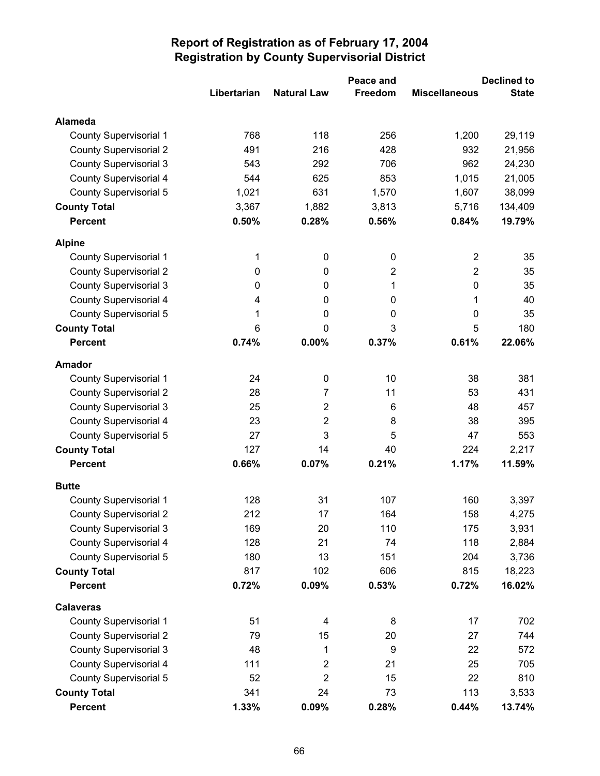|                               |             | Peace and          |                | <b>Declined to</b>   |              |  |
|-------------------------------|-------------|--------------------|----------------|----------------------|--------------|--|
|                               | Libertarian | <b>Natural Law</b> | Freedom        | <b>Miscellaneous</b> | <b>State</b> |  |
| <b>Alameda</b>                |             |                    |                |                      |              |  |
| <b>County Supervisorial 1</b> | 768         | 118                | 256            | 1,200                | 29,119       |  |
| <b>County Supervisorial 2</b> | 491         | 216                | 428            | 932                  | 21,956       |  |
| <b>County Supervisorial 3</b> | 543         | 292                | 706            | 962                  | 24,230       |  |
| County Supervisorial 4        | 544         | 625                | 853            | 1,015                | 21,005       |  |
| <b>County Supervisorial 5</b> | 1,021       | 631                | 1,570          | 1,607                | 38,099       |  |
| <b>County Total</b>           | 3,367       | 1,882              | 3,813          | 5,716                | 134,409      |  |
| <b>Percent</b>                | 0.50%       | 0.28%              | 0.56%          | 0.84%                | 19.79%       |  |
| <b>Alpine</b>                 |             |                    |                |                      |              |  |
| <b>County Supervisorial 1</b> | 1           | 0                  | $\mathbf 0$    | $\overline{2}$       | 35           |  |
| <b>County Supervisorial 2</b> | 0           | 0                  | $\overline{2}$ | $\overline{2}$       | 35           |  |
| <b>County Supervisorial 3</b> | 0           | 0                  | 1              | $\mathbf 0$          | 35           |  |
| <b>County Supervisorial 4</b> | 4           | $\mathbf 0$        | $\mathbf 0$    | 1                    | 40           |  |
| <b>County Supervisorial 5</b> | 1           | 0                  | 0              | $\mathbf 0$          | 35           |  |
| <b>County Total</b>           | 6           | $\mathbf 0$        | 3              | 5                    | 180          |  |
| <b>Percent</b>                | 0.74%       | 0.00%              | 0.37%          | 0.61%                | 22.06%       |  |
| <b>Amador</b>                 |             |                    |                |                      |              |  |
| <b>County Supervisorial 1</b> | 24          | 0                  | 10             | 38                   | 381          |  |
| <b>County Supervisorial 2</b> | 28          | 7                  | 11             | 53                   | 431          |  |
| <b>County Supervisorial 3</b> | 25          | $\overline{2}$     | 6              | 48                   | 457          |  |
| <b>County Supervisorial 4</b> | 23          | 2                  | 8              | 38                   | 395          |  |
| <b>County Supervisorial 5</b> | 27          | 3                  | 5              | 47                   | 553          |  |
| <b>County Total</b>           | 127         | 14                 | 40             | 224                  | 2,217        |  |
| <b>Percent</b>                | 0.66%       | 0.07%              | 0.21%          | 1.17%                | 11.59%       |  |
| <b>Butte</b>                  |             |                    |                |                      |              |  |
| County Supervisorial 1        | 128         | 31                 | 107            | 160                  | 3,397        |  |
| <b>County Supervisorial 2</b> | 212         | 17                 | 164            | 158                  | 4,275        |  |
| <b>County Supervisorial 3</b> | 169         | 20                 | 110            | 175                  | 3,931        |  |
| <b>County Supervisorial 4</b> | 128         | 21                 | 74             | 118                  | 2,884        |  |
| <b>County Supervisorial 5</b> | 180         | 13                 | 151            | 204                  | 3,736        |  |
| <b>County Total</b>           | 817         | 102                | 606            | 815                  | 18,223       |  |
| <b>Percent</b>                | 0.72%       | 0.09%              | 0.53%          | 0.72%                | 16.02%       |  |
| <b>Calaveras</b>              |             |                    |                |                      |              |  |
| <b>County Supervisorial 1</b> | 51          | 4                  | 8              | 17                   | 702          |  |
| <b>County Supervisorial 2</b> | 79          | 15                 | 20             | 27                   | 744          |  |
| <b>County Supervisorial 3</b> | 48          | 1                  | 9              | 22                   | 572          |  |
| <b>County Supervisorial 4</b> | 111         | 2                  | 21             | 25                   | 705          |  |
| <b>County Supervisorial 5</b> | 52          | 2                  | 15             | 22                   | 810          |  |
| <b>County Total</b>           | 341         | 24                 | 73             | 113                  | 3,533        |  |
| <b>Percent</b>                | 1.33%       | 0.09%              | 0.28%          | 0.44%                | 13.74%       |  |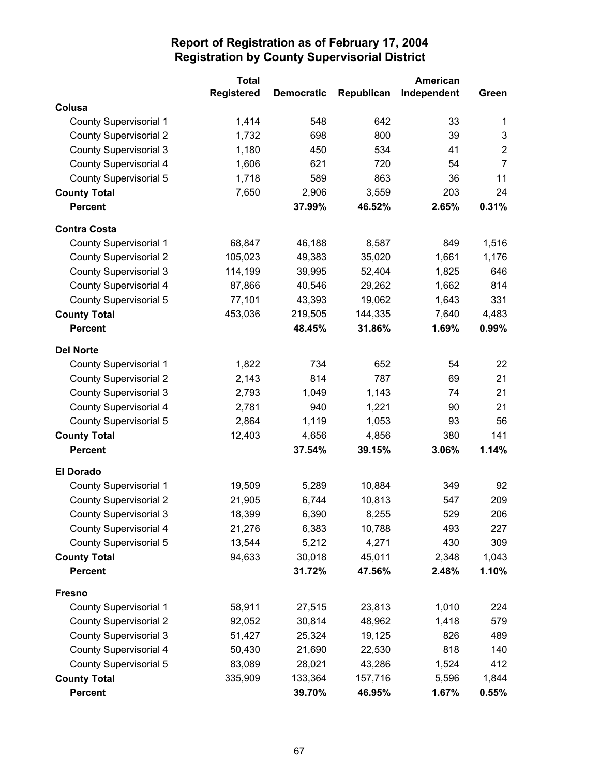|                               | <b>Total</b>      |                   |            | American    |                |
|-------------------------------|-------------------|-------------------|------------|-------------|----------------|
|                               | <b>Registered</b> | <b>Democratic</b> | Republican | Independent | Green          |
| Colusa                        |                   |                   |            |             |                |
| <b>County Supervisorial 1</b> | 1,414             | 548               | 642        | 33          | 1              |
| <b>County Supervisorial 2</b> | 1,732             | 698               | 800        | 39          | $\mathbf{3}$   |
| <b>County Supervisorial 3</b> | 1,180             | 450               | 534        | 41          | $\overline{2}$ |
| County Supervisorial 4        | 1,606             | 621               | 720        | 54          | $\overline{7}$ |
| <b>County Supervisorial 5</b> | 1,718             | 589               | 863        | 36          | 11             |
| <b>County Total</b>           | 7,650             | 2,906             | 3,559      | 203         | 24             |
| <b>Percent</b>                |                   | 37.99%            | 46.52%     | 2.65%       | 0.31%          |
| <b>Contra Costa</b>           |                   |                   |            |             |                |
| <b>County Supervisorial 1</b> | 68,847            | 46,188            | 8,587      | 849         | 1,516          |
| <b>County Supervisorial 2</b> | 105,023           | 49,383            | 35,020     | 1,661       | 1,176          |
| <b>County Supervisorial 3</b> | 114,199           | 39,995            | 52,404     | 1,825       | 646            |
| County Supervisorial 4        | 87,866            | 40,546            | 29,262     | 1,662       | 814            |
| County Supervisorial 5        | 77,101            | 43,393            | 19,062     | 1,643       | 331            |
| <b>County Total</b>           | 453,036           | 219,505           | 144,335    | 7,640       | 4,483          |
| <b>Percent</b>                |                   | 48.45%            | 31.86%     | 1.69%       | 0.99%          |
| <b>Del Norte</b>              |                   |                   |            |             |                |
| <b>County Supervisorial 1</b> | 1,822             | 734               | 652        | 54          | 22             |
| <b>County Supervisorial 2</b> | 2,143             | 814               | 787        | 69          | 21             |
| <b>County Supervisorial 3</b> | 2,793             | 1,049             | 1,143      | 74          | 21             |
| County Supervisorial 4        | 2,781             | 940               | 1,221      | 90          | 21             |
| County Supervisorial 5        | 2,864             | 1,119             | 1,053      | 93          | 56             |
| <b>County Total</b>           | 12,403            | 4,656             | 4,856      | 380         | 141            |
| <b>Percent</b>                |                   | 37.54%            | 39.15%     | 3.06%       | 1.14%          |
| <b>El Dorado</b>              |                   |                   |            |             |                |
| <b>County Supervisorial 1</b> | 19,509            | 5,289             | 10,884     | 349         | 92             |
| <b>County Supervisorial 2</b> | 21,905            | 6,744             | 10,813     | 547         | 209            |
| <b>County Supervisorial 3</b> | 18,399            | 6,390             | 8,255      | 529         | 206            |
| County Supervisorial 4        | 21,276            | 6,383             | 10,788     | 493         | 227            |
| <b>County Supervisorial 5</b> | 13,544            | 5,212             | 4,271      | 430         | 309            |
| <b>County Total</b>           | 94,633            | 30,018            | 45,011     | 2,348       | 1,043          |
| <b>Percent</b>                |                   | 31.72%            | 47.56%     | 2.48%       | 1.10%          |
| <b>Fresno</b>                 |                   |                   |            |             |                |
| <b>County Supervisorial 1</b> | 58,911            | 27,515            | 23,813     | 1,010       | 224            |
| <b>County Supervisorial 2</b> | 92,052            | 30,814            | 48,962     | 1,418       | 579            |
| <b>County Supervisorial 3</b> | 51,427            | 25,324            | 19,125     | 826         | 489            |
| County Supervisorial 4        | 50,430            | 21,690            | 22,530     | 818         | 140            |
| County Supervisorial 5        | 83,089            | 28,021            | 43,286     | 1,524       | 412            |
| <b>County Total</b>           | 335,909           | 133,364           | 157,716    | 5,596       | 1,844          |
| <b>Percent</b>                |                   | 39.70%            | 46.95%     | 1.67%       | 0.55%          |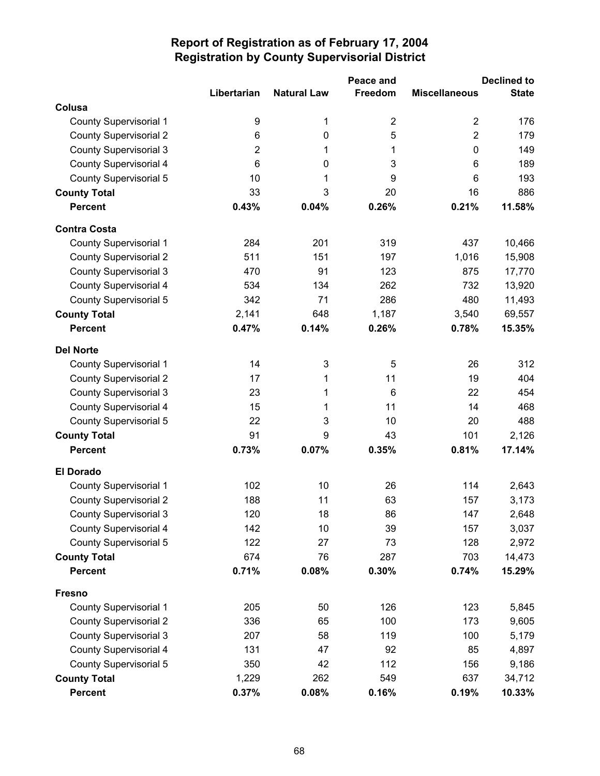|                               |                 |                    | Peace and      |                      | <b>Declined to</b> |  |  |
|-------------------------------|-----------------|--------------------|----------------|----------------------|--------------------|--|--|
|                               | Libertarian     | <b>Natural Law</b> | Freedom        | <b>Miscellaneous</b> | <b>State</b>       |  |  |
| Colusa                        |                 |                    |                |                      |                    |  |  |
| <b>County Supervisorial 1</b> | 9               | 1                  | $\overline{2}$ | $\overline{2}$       | 176                |  |  |
| <b>County Supervisorial 2</b> | 6               | $\pmb{0}$          | 5              | $\overline{2}$       | 179                |  |  |
| <b>County Supervisorial 3</b> | $\overline{2}$  | 1                  | 1              | 0                    | 149                |  |  |
| <b>County Supervisorial 4</b> | $6\phantom{1}6$ | $\boldsymbol{0}$   | 3              | 6                    | 189                |  |  |
| <b>County Supervisorial 5</b> | 10              | 1                  | 9              | 6                    | 193                |  |  |
| <b>County Total</b>           | 33              | 3                  | 20             | 16                   | 886                |  |  |
| <b>Percent</b>                | 0.43%           | 0.04%              | 0.26%          | 0.21%                | 11.58%             |  |  |
| <b>Contra Costa</b>           |                 |                    |                |                      |                    |  |  |
| <b>County Supervisorial 1</b> | 284             | 201                | 319            | 437                  | 10,466             |  |  |
| <b>County Supervisorial 2</b> | 511             | 151                | 197            | 1,016                | 15,908             |  |  |
| <b>County Supervisorial 3</b> | 470             | 91                 | 123            | 875                  | 17,770             |  |  |
| <b>County Supervisorial 4</b> | 534             | 134                | 262            | 732                  | 13,920             |  |  |
| <b>County Supervisorial 5</b> | 342             | 71                 | 286            | 480                  | 11,493             |  |  |
| <b>County Total</b>           | 2,141           | 648                | 1,187          | 3,540                | 69,557             |  |  |
| <b>Percent</b>                | 0.47%           | 0.14%              | 0.26%          | 0.78%                | 15.35%             |  |  |
| <b>Del Norte</b>              |                 |                    |                |                      |                    |  |  |
| <b>County Supervisorial 1</b> | 14              | 3                  | 5              | 26                   | 312                |  |  |
| <b>County Supervisorial 2</b> | 17              | 1                  | 11             | 19                   | 404                |  |  |
| <b>County Supervisorial 3</b> | 23              | 1                  | 6              | 22                   | 454                |  |  |
| <b>County Supervisorial 4</b> | 15              | 1                  | 11             | 14                   | 468                |  |  |
| County Supervisorial 5        | 22              | 3                  | 10             | 20                   | 488                |  |  |
| <b>County Total</b>           | 91              | 9                  | 43             | 101                  | 2,126              |  |  |
| <b>Percent</b>                | 0.73%           | 0.07%              | 0.35%          | 0.81%                | 17.14%             |  |  |
| <b>El Dorado</b>              |                 |                    |                |                      |                    |  |  |
| <b>County Supervisorial 1</b> | 102             | 10                 | 26             | 114                  | 2,643              |  |  |
| <b>County Supervisorial 2</b> | 188             | 11                 | 63             | 157                  | 3,173              |  |  |
| <b>County Supervisorial 3</b> | 120             | 18                 | 86             | 147                  | 2,648              |  |  |
| <b>County Supervisorial 4</b> | 142             | 10                 | 39             | 157                  | 3,037              |  |  |
| <b>County Supervisorial 5</b> | 122             | 27                 | 73             | 128                  | 2,972              |  |  |
| <b>County Total</b>           | 674             | 76                 | 287            | 703                  | 14,473             |  |  |
| <b>Percent</b>                | 0.71%           | 0.08%              | 0.30%          | 0.74%                | 15.29%             |  |  |
| <b>Fresno</b>                 |                 |                    |                |                      |                    |  |  |
| <b>County Supervisorial 1</b> | 205             | 50                 | 126            | 123                  | 5,845              |  |  |
| <b>County Supervisorial 2</b> | 336             | 65                 | 100            | 173                  | 9,605              |  |  |
| <b>County Supervisorial 3</b> | 207             | 58                 | 119            | 100                  | 5,179              |  |  |
| County Supervisorial 4        | 131             | 47                 | 92             | 85                   | 4,897              |  |  |
| <b>County Supervisorial 5</b> | 350             | 42                 | 112            | 156                  | 9,186              |  |  |
| <b>County Total</b>           | 1,229           | 262                | 549            | 637                  | 34,712             |  |  |
| <b>Percent</b>                | 0.37%           | 0.08%              | 0.16%          | 0.19%                | 10.33%             |  |  |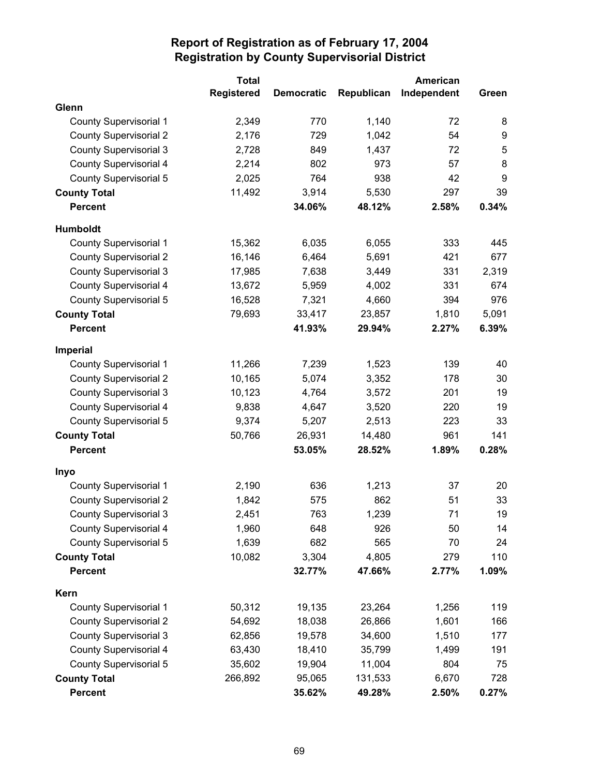|                               | <b>Total</b>      |                   |            | American    |       |
|-------------------------------|-------------------|-------------------|------------|-------------|-------|
|                               | <b>Registered</b> | <b>Democratic</b> | Republican | Independent | Green |
| Glenn                         |                   |                   |            |             |       |
| <b>County Supervisorial 1</b> | 2,349             | 770               | 1,140      | 72          | 8     |
| <b>County Supervisorial 2</b> | 2,176             | 729               | 1,042      | 54          | 9     |
| <b>County Supervisorial 3</b> | 2,728             | 849               | 1,437      | 72          | 5     |
| <b>County Supervisorial 4</b> | 2,214             | 802               | 973        | 57          | 8     |
| <b>County Supervisorial 5</b> | 2,025             | 764               | 938        | 42          | 9     |
| <b>County Total</b>           | 11,492            | 3,914             | 5,530      | 297         | 39    |
| <b>Percent</b>                |                   | 34.06%            | 48.12%     | 2.58%       | 0.34% |
| Humboldt                      |                   |                   |            |             |       |
| <b>County Supervisorial 1</b> | 15,362            | 6,035             | 6,055      | 333         | 445   |
| <b>County Supervisorial 2</b> | 16,146            | 6,464             | 5,691      | 421         | 677   |
| <b>County Supervisorial 3</b> | 17,985            | 7,638             | 3,449      | 331         | 2,319 |
| <b>County Supervisorial 4</b> | 13,672            | 5,959             | 4,002      | 331         | 674   |
| <b>County Supervisorial 5</b> | 16,528            | 7,321             | 4,660      | 394         | 976   |
| <b>County Total</b>           | 79,693            | 33,417            | 23,857     | 1,810       | 5,091 |
| <b>Percent</b>                |                   | 41.93%            | 29.94%     | 2.27%       | 6.39% |
| <b>Imperial</b>               |                   |                   |            |             |       |
| <b>County Supervisorial 1</b> | 11,266            | 7,239             | 1,523      | 139         | 40    |
| <b>County Supervisorial 2</b> | 10,165            | 5,074             | 3,352      | 178         | 30    |
| <b>County Supervisorial 3</b> | 10,123            | 4,764             | 3,572      | 201         | 19    |
| <b>County Supervisorial 4</b> | 9,838             | 4,647             | 3,520      | 220         | 19    |
| <b>County Supervisorial 5</b> | 9,374             | 5,207             | 2,513      | 223         | 33    |
| <b>County Total</b>           | 50,766            | 26,931            | 14,480     | 961         | 141   |
| <b>Percent</b>                |                   | 53.05%            | 28.52%     | 1.89%       | 0.28% |
| Inyo                          |                   |                   |            |             |       |
| <b>County Supervisorial 1</b> | 2,190             | 636               | 1,213      | 37          | 20    |
| <b>County Supervisorial 2</b> | 1,842             | 575               | 862        | 51          | 33    |
| <b>County Supervisorial 3</b> | 2,451             | 763               | 1,239      | 71          | 19    |
| County Supervisorial 4        | 1,960             | 648               | 926        | 50          | 14    |
| <b>County Supervisorial 5</b> | 1,639             | 682               | 565        | 70          | 24    |
| <b>County Total</b>           | 10,082            | 3,304             | 4,805      | 279         | 110   |
| <b>Percent</b>                |                   | 32.77%            | 47.66%     | 2.77%       | 1.09% |
| Kern                          |                   |                   |            |             |       |
| <b>County Supervisorial 1</b> | 50,312            | 19,135            | 23,264     | 1,256       | 119   |
| <b>County Supervisorial 2</b> | 54,692            | 18,038            | 26,866     | 1,601       | 166   |
| <b>County Supervisorial 3</b> | 62,856            | 19,578            | 34,600     | 1,510       | 177   |
| <b>County Supervisorial 4</b> | 63,430            | 18,410            | 35,799     | 1,499       | 191   |
| County Supervisorial 5        | 35,602            | 19,904            | 11,004     | 804         | 75    |
| <b>County Total</b>           | 266,892           | 95,065            | 131,533    | 6,670       | 728   |
| <b>Percent</b>                |                   | 35.62%            | 49.28%     | 2.50%       | 0.27% |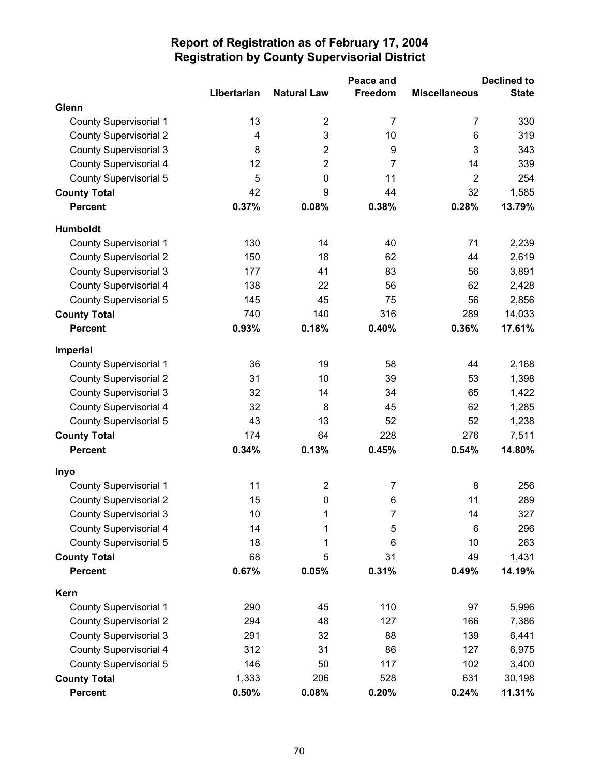|                               |                         |                         | Peace and      |                      | <b>Declined to</b> |
|-------------------------------|-------------------------|-------------------------|----------------|----------------------|--------------------|
|                               | Libertarian             | <b>Natural Law</b>      | Freedom        | <b>Miscellaneous</b> | <b>State</b>       |
| Glenn                         |                         |                         |                |                      |                    |
| <b>County Supervisorial 1</b> | 13                      | $\overline{2}$          | $\overline{7}$ | $\overline{7}$       | 330                |
| <b>County Supervisorial 2</b> | $\overline{\mathbf{4}}$ | 3                       | 10             | 6                    | 319                |
| <b>County Supervisorial 3</b> | 8                       | $\overline{2}$          | 9              | 3                    | 343                |
| <b>County Supervisorial 4</b> | 12                      | $\overline{2}$          | $\overline{7}$ | 14                   | 339                |
| <b>County Supervisorial 5</b> | 5                       | 0                       | 11             | $\overline{2}$       | 254                |
| <b>County Total</b>           | 42                      | 9                       | 44             | 32                   | 1,585              |
| <b>Percent</b>                | 0.37%                   | 0.08%                   | 0.38%          | 0.28%                | 13.79%             |
| <b>Humboldt</b>               |                         |                         |                |                      |                    |
| <b>County Supervisorial 1</b> | 130                     | 14                      | 40             | 71                   | 2,239              |
| <b>County Supervisorial 2</b> | 150                     | 18                      | 62             | 44                   | 2,619              |
| <b>County Supervisorial 3</b> | 177                     | 41                      | 83             | 56                   | 3,891              |
| <b>County Supervisorial 4</b> | 138                     | 22                      | 56             | 62                   | 2,428              |
| <b>County Supervisorial 5</b> | 145                     | 45                      | 75             | 56                   | 2,856              |
| <b>County Total</b>           | 740                     | 140                     | 316            | 289                  | 14,033             |
| <b>Percent</b>                | 0.93%                   | 0.18%                   | 0.40%          | 0.36%                | 17.61%             |
| Imperial                      |                         |                         |                |                      |                    |
| <b>County Supervisorial 1</b> | 36                      | 19                      | 58             | 44                   | 2,168              |
| <b>County Supervisorial 2</b> | 31                      | 10                      | 39             | 53                   | 1,398              |
| <b>County Supervisorial 3</b> | 32                      | 14                      | 34             | 65                   | 1,422              |
| <b>County Supervisorial 4</b> | 32                      | 8                       | 45             | 62                   | 1,285              |
| <b>County Supervisorial 5</b> | 43                      | 13                      | 52             | 52                   | 1,238              |
| <b>County Total</b>           | 174                     | 64                      | 228            | 276                  | 7,511              |
| <b>Percent</b>                | 0.34%                   | 0.13%                   | 0.45%          | 0.54%                | 14.80%             |
| Inyo                          |                         |                         |                |                      |                    |
| <b>County Supervisorial 1</b> | 11                      | $\overline{\mathbf{c}}$ | $\overline{7}$ | 8                    | 256                |
| <b>County Supervisorial 2</b> | 15                      | $\pmb{0}$               | 6              | 11                   | 289                |
| <b>County Supervisorial 3</b> | 10                      | 1                       | 7              | 14                   | 327                |
| County Supervisorial 4        | 14                      | 1                       | 5              | 6                    | 296                |
| <b>County Supervisorial 5</b> | 18                      | 1                       | 6              | 10                   | 263                |
| <b>County Total</b>           | 68                      | 5                       | 31             | 49                   | 1,431              |
| <b>Percent</b>                | 0.67%                   | 0.05%                   | 0.31%          | 0.49%                | 14.19%             |
| Kern                          |                         |                         |                |                      |                    |
| <b>County Supervisorial 1</b> | 290                     | 45                      | 110            | 97                   | 5,996              |
| <b>County Supervisorial 2</b> | 294                     | 48                      | 127            | 166                  | 7,386              |
| <b>County Supervisorial 3</b> | 291                     | 32                      | 88             | 139                  | 6,441              |
| <b>County Supervisorial 4</b> | 312                     | 31                      | 86             | 127                  | 6,975              |
| <b>County Supervisorial 5</b> | 146                     | 50                      | 117            | 102                  | 3,400              |
| <b>County Total</b>           | 1,333                   | 206                     | 528            | 631                  | 30,198             |
| <b>Percent</b>                | 0.50%                   | 0.08%                   | 0.20%          | 0.24%                | 11.31%             |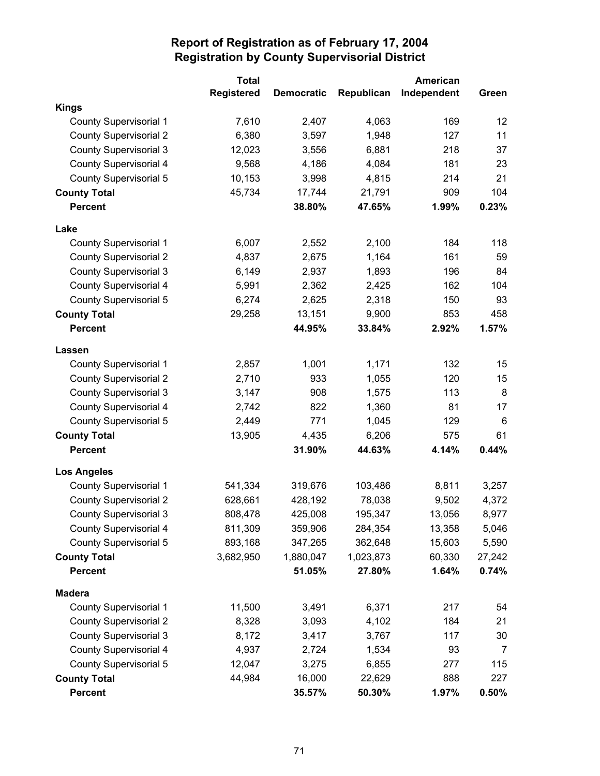|                               | <b>Total</b>      |                   |            | American    |        |
|-------------------------------|-------------------|-------------------|------------|-------------|--------|
|                               | <b>Registered</b> | <b>Democratic</b> | Republican | Independent | Green  |
| <b>Kings</b>                  |                   |                   |            |             |        |
| <b>County Supervisorial 1</b> | 7,610             | 2,407             | 4,063      | 169         | 12     |
| <b>County Supervisorial 2</b> | 6,380             | 3,597             | 1,948      | 127         | 11     |
| <b>County Supervisorial 3</b> | 12,023            | 3,556             | 6,881      | 218         | 37     |
| <b>County Supervisorial 4</b> | 9,568             | 4,186             | 4,084      | 181         | 23     |
| <b>County Supervisorial 5</b> | 10,153            | 3,998             | 4,815      | 214         | 21     |
| <b>County Total</b>           | 45,734            | 17,744            | 21,791     | 909         | 104    |
| <b>Percent</b>                |                   | 38.80%            | 47.65%     | 1.99%       | 0.23%  |
| Lake                          |                   |                   |            |             |        |
| County Supervisorial 1        | 6,007             | 2,552             | 2,100      | 184         | 118    |
| <b>County Supervisorial 2</b> | 4,837             | 2,675             | 1,164      | 161         | 59     |
| <b>County Supervisorial 3</b> | 6,149             | 2,937             | 1,893      | 196         | 84     |
| <b>County Supervisorial 4</b> | 5,991             | 2,362             | 2,425      | 162         | 104    |
| <b>County Supervisorial 5</b> | 6,274             | 2,625             | 2,318      | 150         | 93     |
| <b>County Total</b>           | 29,258            | 13,151            | 9,900      | 853         | 458    |
| <b>Percent</b>                |                   | 44.95%            | 33.84%     | 2.92%       | 1.57%  |
| Lassen                        |                   |                   |            |             |        |
| <b>County Supervisorial 1</b> | 2,857             | 1,001             | 1,171      | 132         | 15     |
| <b>County Supervisorial 2</b> | 2,710             | 933               | 1,055      | 120         | 15     |
| <b>County Supervisorial 3</b> | 3,147             | 908               | 1,575      | 113         | 8      |
| <b>County Supervisorial 4</b> | 2,742             | 822               | 1,360      | 81          | 17     |
| <b>County Supervisorial 5</b> | 2,449             | 771               | 1,045      | 129         | 6      |
| <b>County Total</b>           | 13,905            | 4,435             | 6,206      | 575         | 61     |
| <b>Percent</b>                |                   | 31.90%            | 44.63%     | 4.14%       | 0.44%  |
| <b>Los Angeles</b>            |                   |                   |            |             |        |
| <b>County Supervisorial 1</b> | 541,334           | 319,676           | 103,486    | 8,811       | 3,257  |
| <b>County Supervisorial 2</b> | 628,661           | 428,192           | 78,038     | 9,502       | 4,372  |
| <b>County Supervisorial 3</b> | 808,478           | 425,008           | 195,347    | 13,056      | 8,977  |
| County Supervisorial 4        | 811,309           | 359,906           | 284,354    | 13,358      | 5,046  |
| County Supervisorial 5        | 893,168           | 347,265           | 362,648    | 15,603      | 5,590  |
| <b>County Total</b>           | 3,682,950         | 1,880,047         | 1,023,873  | 60,330      | 27,242 |
| <b>Percent</b>                |                   | 51.05%            | 27.80%     | 1.64%       | 0.74%  |
| <b>Madera</b>                 |                   |                   |            |             |        |
| <b>County Supervisorial 1</b> | 11,500            | 3,491             | 6,371      | 217         | 54     |
| <b>County Supervisorial 2</b> | 8,328             | 3,093             | 4,102      | 184         | 21     |
| <b>County Supervisorial 3</b> | 8,172             | 3,417             | 3,767      | 117         | 30     |
| <b>County Supervisorial 4</b> | 4,937             | 2,724             | 1,534      | 93          | 7      |
| County Supervisorial 5        | 12,047            | 3,275             | 6,855      | 277         | 115    |
| <b>County Total</b>           | 44,984            | 16,000            | 22,629     | 888         | 227    |
| <b>Percent</b>                |                   | 35.57%            | 50.30%     | 1.97%       | 0.50%  |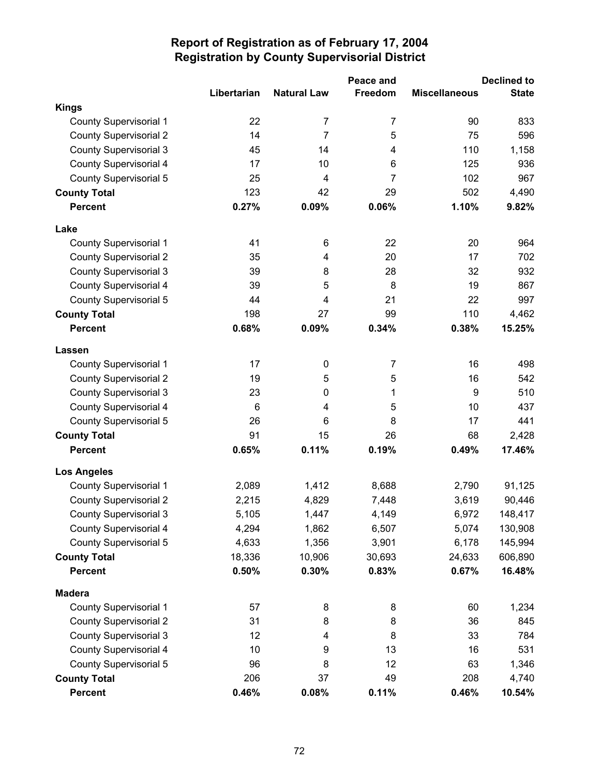|                               | Peace and   |                    |                | <b>Declined to</b>   |              |  |
|-------------------------------|-------------|--------------------|----------------|----------------------|--------------|--|
|                               | Libertarian | <b>Natural Law</b> | Freedom        | <b>Miscellaneous</b> | <b>State</b> |  |
| <b>Kings</b>                  |             |                    |                |                      |              |  |
| <b>County Supervisorial 1</b> | 22          | 7                  | 7              | 90                   | 833          |  |
| <b>County Supervisorial 2</b> | 14          | $\overline{7}$     | 5              | 75                   | 596          |  |
| <b>County Supervisorial 3</b> | 45          | 14                 | 4              | 110                  | 1,158        |  |
| County Supervisorial 4        | 17          | 10                 | 6              | 125                  | 936          |  |
| <b>County Supervisorial 5</b> | 25          | 4                  | $\overline{7}$ | 102                  | 967          |  |
| <b>County Total</b>           | 123         | 42                 | 29             | 502                  | 4,490        |  |
| <b>Percent</b>                | 0.27%       | 0.09%              | 0.06%          | 1.10%                | 9.82%        |  |
| Lake                          |             |                    |                |                      |              |  |
| <b>County Supervisorial 1</b> | 41          | 6                  | 22             | 20                   | 964          |  |
| <b>County Supervisorial 2</b> | 35          | 4                  | 20             | 17                   | 702          |  |
| <b>County Supervisorial 3</b> | 39          | 8                  | 28             | 32                   | 932          |  |
| <b>County Supervisorial 4</b> | 39          | 5                  | 8              | 19                   | 867          |  |
| County Supervisorial 5        | 44          | 4                  | 21             | 22                   | 997          |  |
| <b>County Total</b>           | 198         | 27                 | 99             | 110                  | 4,462        |  |
| <b>Percent</b>                | 0.68%       | 0.09%              | 0.34%          | 0.38%                | 15.25%       |  |
| <b>Lassen</b>                 |             |                    |                |                      |              |  |
| <b>County Supervisorial 1</b> | 17          | $\pmb{0}$          | $\overline{7}$ | 16                   | 498          |  |
| <b>County Supervisorial 2</b> | 19          | 5                  | 5              | 16                   | 542          |  |
| <b>County Supervisorial 3</b> | 23          | 0                  | 1              | 9                    | 510          |  |
| <b>County Supervisorial 4</b> | 6           | 4                  | 5              | 10                   | 437          |  |
| County Supervisorial 5        | 26          | 6                  | 8              | 17                   | 441          |  |
| <b>County Total</b>           | 91          | 15                 | 26             | 68                   | 2,428        |  |
| <b>Percent</b>                | 0.65%       | 0.11%              | 0.19%          | 0.49%                | 17.46%       |  |
| <b>Los Angeles</b>            |             |                    |                |                      |              |  |
| <b>County Supervisorial 1</b> | 2,089       | 1,412              | 8,688          | 2,790                | 91,125       |  |
| <b>County Supervisorial 2</b> | 2,215       | 4,829              | 7,448          | 3,619                | 90,446       |  |
| <b>County Supervisorial 3</b> | 5,105       | 1,447              | 4,149          | 6,972                | 148,417      |  |
| County Supervisorial 4        | 4,294       | 1,862              | 6,507          | 5,074                | 130,908      |  |
| <b>County Supervisorial 5</b> | 4,633       | 1,356              | 3,901          | 6,178                | 145,994      |  |
| <b>County Total</b>           | 18,336      | 10,906             | 30,693         | 24,633               | 606,890      |  |
| <b>Percent</b>                | 0.50%       | 0.30%              | 0.83%          | 0.67%                | 16.48%       |  |
| <b>Madera</b>                 |             |                    |                |                      |              |  |
| <b>County Supervisorial 1</b> | 57          | 8                  | 8              | 60                   | 1,234        |  |
| <b>County Supervisorial 2</b> | 31          | 8                  | 8              | 36                   | 845          |  |
| <b>County Supervisorial 3</b> | 12          | 4                  | 8              | 33                   | 784          |  |
| <b>County Supervisorial 4</b> | 10          | 9                  | 13             | 16                   | 531          |  |
| <b>County Supervisorial 5</b> | 96          | 8                  | 12             | 63                   | 1,346        |  |
| <b>County Total</b>           | 206         | 37                 | 49             | 208                  | 4,740        |  |
| <b>Percent</b>                | 0.46%       | 0.08%              | 0.11%          | 0.46%                | 10.54%       |  |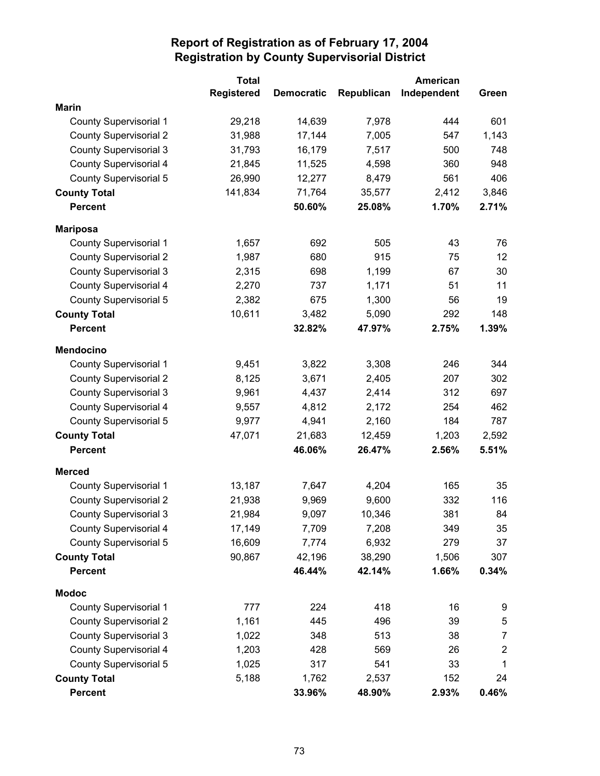|                               | <b>Total</b>      |                   |            | American    |                |
|-------------------------------|-------------------|-------------------|------------|-------------|----------------|
|                               | <b>Registered</b> | <b>Democratic</b> | Republican | Independent | Green          |
| <b>Marin</b>                  |                   |                   |            |             |                |
| <b>County Supervisorial 1</b> | 29,218            | 14,639            | 7,978      | 444         | 601            |
| <b>County Supervisorial 2</b> | 31,988            | 17,144            | 7,005      | 547         | 1,143          |
| <b>County Supervisorial 3</b> | 31,793            | 16,179            | 7,517      | 500         | 748            |
| <b>County Supervisorial 4</b> | 21,845            | 11,525            | 4,598      | 360         | 948            |
| <b>County Supervisorial 5</b> | 26,990            | 12,277            | 8,479      | 561         | 406            |
| <b>County Total</b>           | 141,834           | 71,764            | 35,577     | 2,412       | 3,846          |
| <b>Percent</b>                |                   | 50.60%            | 25.08%     | 1.70%       | 2.71%          |
| <b>Mariposa</b>               |                   |                   |            |             |                |
| <b>County Supervisorial 1</b> | 1,657             | 692               | 505        | 43          | 76             |
| <b>County Supervisorial 2</b> | 1,987             | 680               | 915        | 75          | 12             |
| <b>County Supervisorial 3</b> | 2,315             | 698               | 1,199      | 67          | 30             |
| <b>County Supervisorial 4</b> | 2,270             | 737               | 1,171      | 51          | 11             |
| <b>County Supervisorial 5</b> | 2,382             | 675               | 1,300      | 56          | 19             |
| <b>County Total</b>           | 10,611            | 3,482             | 5,090      | 292         | 148            |
| <b>Percent</b>                |                   | 32.82%            | 47.97%     | 2.75%       | 1.39%          |
| <b>Mendocino</b>              |                   |                   |            |             |                |
| <b>County Supervisorial 1</b> | 9,451             | 3,822             | 3,308      | 246         | 344            |
| <b>County Supervisorial 2</b> | 8,125             | 3,671             | 2,405      | 207         | 302            |
| <b>County Supervisorial 3</b> | 9,961             | 4,437             | 2,414      | 312         | 697            |
| <b>County Supervisorial 4</b> | 9,557             | 4,812             | 2,172      | 254         | 462            |
| <b>County Supervisorial 5</b> | 9,977             | 4,941             | 2,160      | 184         | 787            |
| <b>County Total</b>           | 47,071            | 21,683            | 12,459     | 1,203       | 2,592          |
| <b>Percent</b>                |                   | 46.06%            | 26.47%     | 2.56%       | 5.51%          |
| <b>Merced</b>                 |                   |                   |            |             |                |
| <b>County Supervisorial 1</b> | 13,187            | 7,647             | 4,204      | 165         | 35             |
| <b>County Supervisorial 2</b> | 21,938            | 9,969             | 9,600      | 332         | 116            |
| <b>County Supervisorial 3</b> | 21,984            | 9,097             | 10,346     | 381         | 84             |
| County Supervisorial 4        | 17,149            | 7,709             | 7,208      | 349         | 35             |
| <b>County Supervisorial 5</b> | 16,609            | 7,774             | 6,932      | 279         | 37             |
| <b>County Total</b>           | 90,867            | 42,196            | 38,290     | 1,506       | 307            |
| <b>Percent</b>                |                   | 46.44%            | 42.14%     | 1.66%       | 0.34%          |
| <b>Modoc</b>                  |                   |                   |            |             |                |
| <b>County Supervisorial 1</b> | 777               | 224               | 418        | 16          | 9              |
| <b>County Supervisorial 2</b> | 1,161             | 445               | 496        | 39          | 5              |
| <b>County Supervisorial 3</b> | 1,022             | 348               | 513        | 38          | $\overline{7}$ |
| <b>County Supervisorial 4</b> | 1,203             | 428               | 569        | 26          | $\overline{2}$ |
| <b>County Supervisorial 5</b> | 1,025             | 317               | 541        | 33          | 1              |
| <b>County Total</b>           | 5,188             | 1,762             | 2,537      | 152         | 24             |
| <b>Percent</b>                |                   | 33.96%            | 48.90%     | 2.93%       | 0.46%          |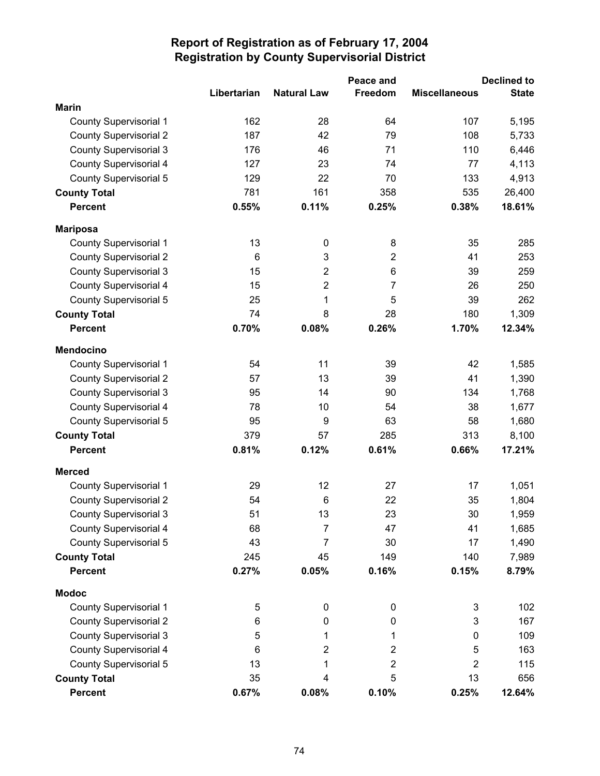|                               |             |                    | Peace and      |                      | <b>Declined to</b> |
|-------------------------------|-------------|--------------------|----------------|----------------------|--------------------|
|                               | Libertarian | <b>Natural Law</b> | <b>Freedom</b> | <b>Miscellaneous</b> | <b>State</b>       |
| <b>Marin</b>                  |             |                    |                |                      |                    |
| <b>County Supervisorial 1</b> | 162         | 28                 | 64             | 107                  | 5,195              |
| <b>County Supervisorial 2</b> | 187         | 42                 | 79             | 108                  | 5,733              |
| <b>County Supervisorial 3</b> | 176         | 46                 | 71             | 110                  | 6,446              |
| County Supervisorial 4        | 127         | 23                 | 74             | 77                   | 4,113              |
| <b>County Supervisorial 5</b> | 129         | 22                 | 70             | 133                  | 4,913              |
| <b>County Total</b>           | 781         | 161                | 358            | 535                  | 26,400             |
| <b>Percent</b>                | 0.55%       | 0.11%              | 0.25%          | 0.38%                | 18.61%             |
| <b>Mariposa</b>               |             |                    |                |                      |                    |
| <b>County Supervisorial 1</b> | 13          | 0                  | 8              | 35                   | 285                |
| <b>County Supervisorial 2</b> | 6           | 3                  | $\overline{2}$ | 41                   | 253                |
| <b>County Supervisorial 3</b> | 15          | $\overline{2}$     | 6              | 39                   | 259                |
| <b>County Supervisorial 4</b> | 15          | $\overline{2}$     | 7              | 26                   | 250                |
| County Supervisorial 5        | 25          | 1                  | 5              | 39                   | 262                |
| <b>County Total</b>           | 74          | 8                  | 28             | 180                  | 1,309              |
| <b>Percent</b>                | 0.70%       | 0.08%              | 0.26%          | 1.70%                | 12.34%             |
| <b>Mendocino</b>              |             |                    |                |                      |                    |
| <b>County Supervisorial 1</b> | 54          | 11                 | 39             | 42                   | 1,585              |
| <b>County Supervisorial 2</b> | 57          | 13                 | 39             | 41                   | 1,390              |
| <b>County Supervisorial 3</b> | 95          | 14                 | 90             | 134                  | 1,768              |
| <b>County Supervisorial 4</b> | 78          | 10                 | 54             | 38                   | 1,677              |
| <b>County Supervisorial 5</b> | 95          | 9                  | 63             | 58                   | 1,680              |
| <b>County Total</b>           | 379         | 57                 | 285            | 313                  | 8,100              |
| <b>Percent</b>                | 0.81%       | 0.12%              | 0.61%          | 0.66%                | 17.21%             |
| <b>Merced</b>                 |             |                    |                |                      |                    |
| <b>County Supervisorial 1</b> | 29          | 12                 | 27             | 17                   | 1,051              |
| <b>County Supervisorial 2</b> | 54          | $\,6$              | 22             | 35                   | 1,804              |
| <b>County Supervisorial 3</b> | 51          | 13                 | 23             | 30                   | 1,959              |
| County Supervisorial 4        | 68          | 7                  | 47             | 41                   | 1,685              |
| <b>County Supervisorial 5</b> | 43          | 7                  | 30             | 17                   | 1,490              |
| <b>County Total</b>           | 245         | 45                 | 149            | 140                  | 7,989              |
| <b>Percent</b>                | 0.27%       | 0.05%              | 0.16%          | 0.15%                | 8.79%              |
| <b>Modoc</b>                  |             |                    |                |                      |                    |
| <b>County Supervisorial 1</b> | 5           | 0                  | 0              | 3                    | 102                |
| <b>County Supervisorial 2</b> | 6           | 0                  | 0              | 3                    | 167                |
| <b>County Supervisorial 3</b> | 5           | 1                  | 1              | 0                    | 109                |
| <b>County Supervisorial 4</b> | 6           | 2                  | 2              | 5                    | 163                |
| County Supervisorial 5        | 13          | 1                  | 2              | $\overline{2}$       | 115                |
| <b>County Total</b>           | 35          | 4                  | 5              | 13                   | 656                |
| <b>Percent</b>                | 0.67%       | 0.08%              | 0.10%          | 0.25%                | 12.64%             |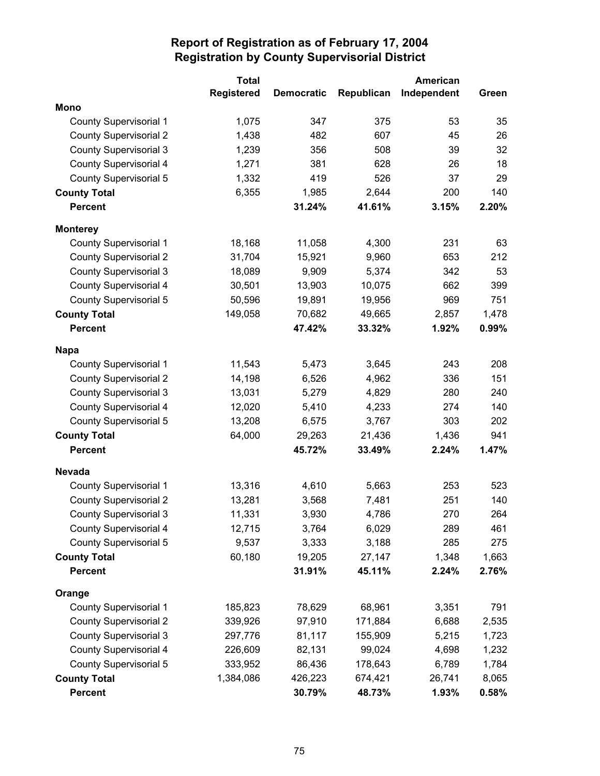|                               | <b>Total</b>      |                   |            | American    |       |
|-------------------------------|-------------------|-------------------|------------|-------------|-------|
|                               | <b>Registered</b> | <b>Democratic</b> | Republican | Independent | Green |
| <b>Mono</b>                   |                   |                   |            |             |       |
| <b>County Supervisorial 1</b> | 1,075             | 347               | 375        | 53          | 35    |
| <b>County Supervisorial 2</b> | 1,438             | 482               | 607        | 45          | 26    |
| <b>County Supervisorial 3</b> | 1,239             | 356               | 508        | 39          | 32    |
| <b>County Supervisorial 4</b> | 1,271             | 381               | 628        | 26          | 18    |
| <b>County Supervisorial 5</b> | 1,332             | 419               | 526        | 37          | 29    |
| <b>County Total</b>           | 6,355             | 1,985             | 2,644      | 200         | 140   |
| <b>Percent</b>                |                   | 31.24%            | 41.61%     | 3.15%       | 2.20% |
| <b>Monterey</b>               |                   |                   |            |             |       |
| <b>County Supervisorial 1</b> | 18,168            | 11,058            | 4,300      | 231         | 63    |
| <b>County Supervisorial 2</b> | 31,704            | 15,921            | 9,960      | 653         | 212   |
| <b>County Supervisorial 3</b> | 18,089            | 9,909             | 5,374      | 342         | 53    |
| <b>County Supervisorial 4</b> | 30,501            | 13,903            | 10,075     | 662         | 399   |
| County Supervisorial 5        | 50,596            | 19,891            | 19,956     | 969         | 751   |
| <b>County Total</b>           | 149,058           | 70,682            | 49,665     | 2,857       | 1,478 |
| <b>Percent</b>                |                   | 47.42%            | 33.32%     | 1.92%       | 0.99% |
| <b>Napa</b>                   |                   |                   |            |             |       |
| County Supervisorial 1        | 11,543            | 5,473             | 3,645      | 243         | 208   |
| <b>County Supervisorial 2</b> | 14,198            | 6,526             | 4,962      | 336         | 151   |
| <b>County Supervisorial 3</b> | 13,031            | 5,279             | 4,829      | 280         | 240   |
| <b>County Supervisorial 4</b> | 12,020            | 5,410             | 4,233      | 274         | 140   |
| County Supervisorial 5        | 13,208            | 6,575             | 3,767      | 303         | 202   |
| <b>County Total</b>           | 64,000            | 29,263            | 21,436     | 1,436       | 941   |
| <b>Percent</b>                |                   | 45.72%            | 33.49%     | 2.24%       | 1.47% |
| <b>Nevada</b>                 |                   |                   |            |             |       |
| <b>County Supervisorial 1</b> | 13,316            | 4,610             | 5,663      | 253         | 523   |
| <b>County Supervisorial 2</b> | 13,281            | 3,568             | 7,481      | 251         | 140   |
| <b>County Supervisorial 3</b> | 11,331            | 3,930             | 4,786      | 270         | 264   |
| County Supervisorial 4        | 12,715            | 3,764             | 6,029      | 289         | 461   |
| County Supervisorial 5        | 9,537             | 3,333             | 3,188      | 285         | 275   |
| <b>County Total</b>           | 60,180            | 19,205            | 27,147     | 1,348       | 1,663 |
| <b>Percent</b>                |                   | 31.91%            | 45.11%     | 2.24%       | 2.76% |
| Orange                        |                   |                   |            |             |       |
| <b>County Supervisorial 1</b> | 185,823           | 78,629            | 68,961     | 3,351       | 791   |
| <b>County Supervisorial 2</b> | 339,926           | 97,910            | 171,884    | 6,688       | 2,535 |
| <b>County Supervisorial 3</b> | 297,776           | 81,117            | 155,909    | 5,215       | 1,723 |
| <b>County Supervisorial 4</b> | 226,609           | 82,131            | 99,024     | 4,698       | 1,232 |
| County Supervisorial 5        | 333,952           | 86,436            | 178,643    | 6,789       | 1,784 |
| <b>County Total</b>           | 1,384,086         | 426,223           | 674,421    | 26,741      | 8,065 |
| <b>Percent</b>                |                   | 30.79%            | 48.73%     | 1.93%       | 0.58% |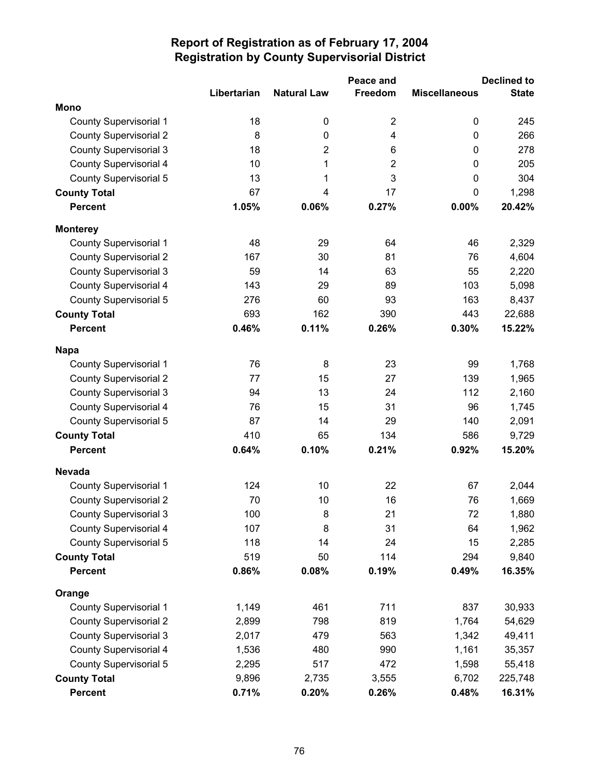|                               |             |                    | Peace and               |                      | <b>Declined to</b> |
|-------------------------------|-------------|--------------------|-------------------------|----------------------|--------------------|
|                               | Libertarian | <b>Natural Law</b> | Freedom                 | <b>Miscellaneous</b> | <b>State</b>       |
| <b>Mono</b>                   |             |                    |                         |                      |                    |
| <b>County Supervisorial 1</b> | 18          | 0                  | $\overline{2}$          | 0                    | 245                |
| <b>County Supervisorial 2</b> | 8           | $\pmb{0}$          | $\overline{\mathbf{4}}$ | $\mathbf 0$          | 266                |
| <b>County Supervisorial 3</b> | 18          | 2                  | 6                       | 0                    | 278                |
| <b>County Supervisorial 4</b> | 10          | 1                  | $\overline{2}$          | $\mathbf 0$          | 205                |
| <b>County Supervisorial 5</b> | 13          | 1                  | 3                       | 0                    | 304                |
| <b>County Total</b>           | 67          | 4                  | 17                      | $\mathbf 0$          | 1,298              |
| <b>Percent</b>                | 1.05%       | 0.06%              | 0.27%                   | 0.00%                | 20.42%             |
| <b>Monterey</b>               |             |                    |                         |                      |                    |
| <b>County Supervisorial 1</b> | 48          | 29                 | 64                      | 46                   | 2,329              |
| <b>County Supervisorial 2</b> | 167         | 30                 | 81                      | 76                   | 4,604              |
| <b>County Supervisorial 3</b> | 59          | 14                 | 63                      | 55                   | 2,220              |
| <b>County Supervisorial 4</b> | 143         | 29                 | 89                      | 103                  | 5,098              |
| <b>County Supervisorial 5</b> | 276         | 60                 | 93                      | 163                  | 8,437              |
| <b>County Total</b>           | 693         | 162                | 390                     | 443                  | 22,688             |
| <b>Percent</b>                | 0.46%       | 0.11%              | 0.26%                   | 0.30%                | 15.22%             |
| <b>Napa</b>                   |             |                    |                         |                      |                    |
| <b>County Supervisorial 1</b> | 76          | 8                  | 23                      | 99                   | 1,768              |
| <b>County Supervisorial 2</b> | 77          | 15                 | 27                      | 139                  | 1,965              |
| <b>County Supervisorial 3</b> | 94          | 13                 | 24                      | 112                  | 2,160              |
| <b>County Supervisorial 4</b> | 76          | 15                 | 31                      | 96                   | 1,745              |
| County Supervisorial 5        | 87          | 14                 | 29                      | 140                  | 2,091              |
| <b>County Total</b>           | 410         | 65                 | 134                     | 586                  | 9,729              |
| <b>Percent</b>                | 0.64%       | 0.10%              | 0.21%                   | 0.92%                | 15.20%             |
| <b>Nevada</b>                 |             |                    |                         |                      |                    |
| <b>County Supervisorial 1</b> | 124         | 10                 | 22                      | 67                   | 2,044              |
| <b>County Supervisorial 2</b> | 70          | 10                 | 16                      | 76                   | 1,669              |
| <b>County Supervisorial 3</b> | 100         | 8                  | 21                      | 72                   | 1,880              |
| <b>County Supervisorial 4</b> | 107         | 8                  | 31                      | 64                   | 1,962              |
| <b>County Supervisorial 5</b> | 118         | 14                 | 24                      | 15                   | 2,285              |
| <b>County Total</b>           | 519         | 50                 | 114                     | 294                  | 9,840              |
| <b>Percent</b>                | 0.86%       | 0.08%              | 0.19%                   | 0.49%                | 16.35%             |
| Orange                        |             |                    |                         |                      |                    |
| <b>County Supervisorial 1</b> | 1,149       | 461                | 711                     | 837                  | 30,933             |
| <b>County Supervisorial 2</b> | 2,899       | 798                | 819                     | 1,764                | 54,629             |
| <b>County Supervisorial 3</b> | 2,017       | 479                | 563                     | 1,342                | 49,411             |
| County Supervisorial 4        | 1,536       | 480                | 990                     | 1,161                | 35,357             |
| County Supervisorial 5        | 2,295       | 517                | 472                     | 1,598                | 55,418             |
| <b>County Total</b>           | 9,896       | 2,735              | 3,555                   | 6,702                | 225,748            |
| <b>Percent</b>                | 0.71%       | 0.20%              | 0.26%                   | 0.48%                | 16.31%             |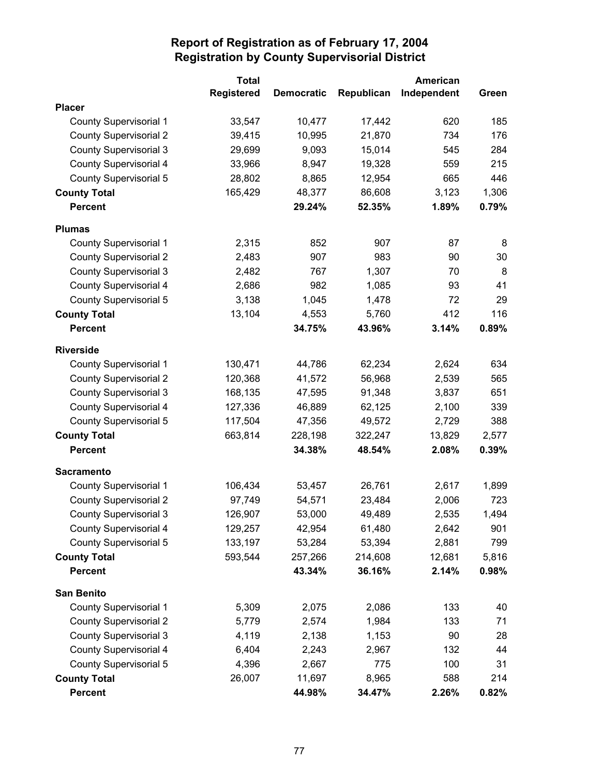|                               | <b>Total</b>      |                   |            | American    |       |
|-------------------------------|-------------------|-------------------|------------|-------------|-------|
|                               | <b>Registered</b> | <b>Democratic</b> | Republican | Independent | Green |
| <b>Placer</b>                 |                   |                   |            |             |       |
| <b>County Supervisorial 1</b> | 33,547            | 10,477            | 17,442     | 620         | 185   |
| <b>County Supervisorial 2</b> | 39,415            | 10,995            | 21,870     | 734         | 176   |
| <b>County Supervisorial 3</b> | 29,699            | 9,093             | 15,014     | 545         | 284   |
| <b>County Supervisorial 4</b> | 33,966            | 8,947             | 19,328     | 559         | 215   |
| <b>County Supervisorial 5</b> | 28,802            | 8,865             | 12,954     | 665         | 446   |
| <b>County Total</b>           | 165,429           | 48,377            | 86,608     | 3,123       | 1,306 |
| <b>Percent</b>                |                   | 29.24%            | 52.35%     | 1.89%       | 0.79% |
| <b>Plumas</b>                 |                   |                   |            |             |       |
| County Supervisorial 1        | 2,315             | 852               | 907        | 87          | 8     |
| <b>County Supervisorial 2</b> | 2,483             | 907               | 983        | 90          | 30    |
| <b>County Supervisorial 3</b> | 2,482             | 767               | 1,307      | 70          | 8     |
| <b>County Supervisorial 4</b> | 2,686             | 982               | 1,085      | 93          | 41    |
| <b>County Supervisorial 5</b> | 3,138             | 1,045             | 1,478      | 72          | 29    |
| <b>County Total</b>           | 13,104            | 4,553             | 5,760      | 412         | 116   |
| <b>Percent</b>                |                   | 34.75%            | 43.96%     | 3.14%       | 0.89% |
| <b>Riverside</b>              |                   |                   |            |             |       |
| <b>County Supervisorial 1</b> | 130,471           | 44,786            | 62,234     | 2,624       | 634   |
| <b>County Supervisorial 2</b> | 120,368           | 41,572            | 56,968     | 2,539       | 565   |
| <b>County Supervisorial 3</b> | 168,135           | 47,595            | 91,348     | 3,837       | 651   |
| <b>County Supervisorial 4</b> | 127,336           | 46,889            | 62,125     | 2,100       | 339   |
| <b>County Supervisorial 5</b> | 117,504           | 47,356            | 49,572     | 2,729       | 388   |
| <b>County Total</b>           | 663,814           | 228,198           | 322,247    | 13,829      | 2,577 |
| <b>Percent</b>                |                   | 34.38%            | 48.54%     | 2.08%       | 0.39% |
| <b>Sacramento</b>             |                   |                   |            |             |       |
| <b>County Supervisorial 1</b> | 106,434           | 53,457            | 26,761     | 2,617       | 1,899 |
| <b>County Supervisorial 2</b> | 97,749            | 54,571            | 23,484     | 2,006       | 723   |
| <b>County Supervisorial 3</b> | 126,907           | 53,000            | 49,489     | 2,535       | 1,494 |
| County Supervisorial 4        | 129,257           | 42,954            | 61,480     | 2,642       | 901   |
| County Supervisorial 5        | 133,197           | 53,284            | 53,394     | 2,881       | 799   |
| <b>County Total</b>           | 593,544           | 257,266           | 214,608    | 12,681      | 5,816 |
| <b>Percent</b>                |                   | 43.34%            | 36.16%     | 2.14%       | 0.98% |
| <b>San Benito</b>             |                   |                   |            |             |       |
| <b>County Supervisorial 1</b> | 5,309             | 2,075             | 2,086      | 133         | 40    |
| <b>County Supervisorial 2</b> | 5,779             | 2,574             | 1,984      | 133         | 71    |
| <b>County Supervisorial 3</b> | 4,119             | 2,138             | 1,153      | 90          | 28    |
| <b>County Supervisorial 4</b> | 6,404             | 2,243             | 2,967      | 132         | 44    |
| County Supervisorial 5        | 4,396             | 2,667             | 775        | 100         | 31    |
| <b>County Total</b>           | 26,007            | 11,697            | 8,965      | 588         | 214   |
| <b>Percent</b>                |                   | 44.98%            | 34.47%     | 2.26%       | 0.82% |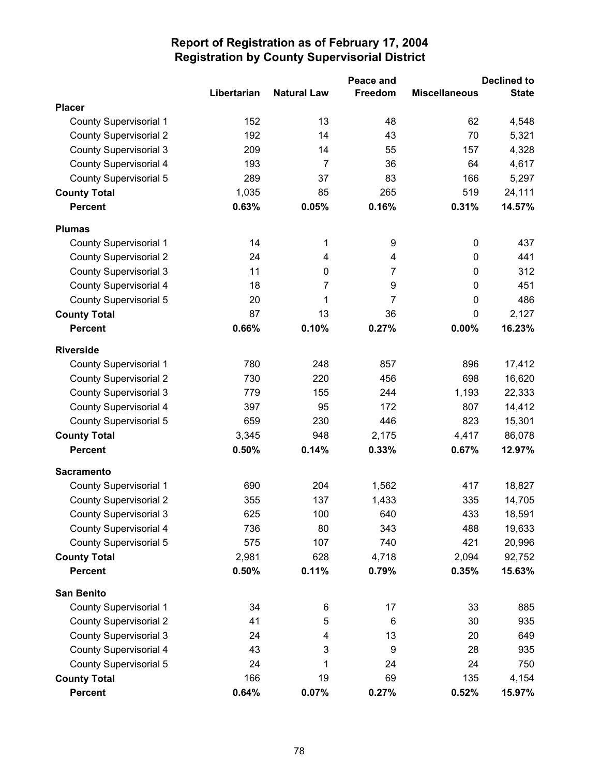|                               |             |                    | Peace and      |                      | <b>Declined to</b> |
|-------------------------------|-------------|--------------------|----------------|----------------------|--------------------|
|                               | Libertarian | <b>Natural Law</b> | Freedom        | <b>Miscellaneous</b> | <b>State</b>       |
| <b>Placer</b>                 |             |                    |                |                      |                    |
| <b>County Supervisorial 1</b> | 152         | 13                 | 48             | 62                   | 4,548              |
| <b>County Supervisorial 2</b> | 192         | 14                 | 43             | 70                   | 5,321              |
| <b>County Supervisorial 3</b> | 209         | 14                 | 55             | 157                  | 4,328              |
| <b>County Supervisorial 4</b> | 193         | $\overline{7}$     | 36             | 64                   | 4,617              |
| <b>County Supervisorial 5</b> | 289         | 37                 | 83             | 166                  | 5,297              |
| <b>County Total</b>           | 1,035       | 85                 | 265            | 519                  | 24,111             |
| <b>Percent</b>                | 0.63%       | 0.05%              | 0.16%          | 0.31%                | 14.57%             |
| <b>Plumas</b>                 |             |                    |                |                      |                    |
| <b>County Supervisorial 1</b> | 14          | 1                  | 9              | 0                    | 437                |
| <b>County Supervisorial 2</b> | 24          | 4                  | 4              | $\mathbf 0$          | 441                |
| <b>County Supervisorial 3</b> | 11          | $\mathbf 0$        | $\overline{7}$ | 0                    | 312                |
| <b>County Supervisorial 4</b> | 18          | 7                  | 9              | 0                    | 451                |
| <b>County Supervisorial 5</b> | 20          | 1                  | $\overline{7}$ | $\mathbf 0$          | 486                |
| <b>County Total</b>           | 87          | 13                 | 36             | 0                    | 2,127              |
| <b>Percent</b>                | 0.66%       | 0.10%              | 0.27%          | 0.00%                | 16.23%             |
| <b>Riverside</b>              |             |                    |                |                      |                    |
| <b>County Supervisorial 1</b> | 780         | 248                | 857            | 896                  | 17,412             |
| <b>County Supervisorial 2</b> | 730         | 220                | 456            | 698                  | 16,620             |
| <b>County Supervisorial 3</b> | 779         | 155                | 244            | 1,193                | 22,333             |
| <b>County Supervisorial 4</b> | 397         | 95                 | 172            | 807                  | 14,412             |
| County Supervisorial 5        | 659         | 230                | 446            | 823                  | 15,301             |
| <b>County Total</b>           | 3,345       | 948                | 2,175          | 4,417                | 86,078             |
| <b>Percent</b>                | 0.50%       | 0.14%              | 0.33%          | 0.67%                | 12.97%             |
| <b>Sacramento</b>             |             |                    |                |                      |                    |
| County Supervisorial 1        | 690         | 204                | 1,562          | 417                  | 18,827             |
| <b>County Supervisorial 2</b> | 355         | 137                | 1,433          | 335                  | 14,705             |
| <b>County Supervisorial 3</b> | 625         | 100                | 640            | 433                  | 18,591             |
| County Supervisorial 4        | 736         | 80                 | 343            | 488                  | 19,633             |
| <b>County Supervisorial 5</b> | 575         | 107                | 740            | 421                  | 20,996             |
| <b>County Total</b>           | 2,981       | 628                | 4,718          | 2,094                | 92,752             |
| <b>Percent</b>                | 0.50%       | 0.11%              | 0.79%          | 0.35%                | 15.63%             |
| <b>San Benito</b>             |             |                    |                |                      |                    |
| <b>County Supervisorial 1</b> | 34          | 6                  | 17             | 33                   | 885                |
| <b>County Supervisorial 2</b> | 41          | 5                  | 6              | 30                   | 935                |
| <b>County Supervisorial 3</b> | 24          | 4                  | 13             | 20                   | 649                |
| County Supervisorial 4        | 43          | 3                  | 9              | 28                   | 935                |
| <b>County Supervisorial 5</b> | 24          | 1                  | 24             | 24                   | 750                |
| <b>County Total</b>           | 166         | 19                 | 69             | 135                  | 4,154              |
| <b>Percent</b>                | 0.64%       | 0.07%              | 0.27%          | 0.52%                | 15.97%             |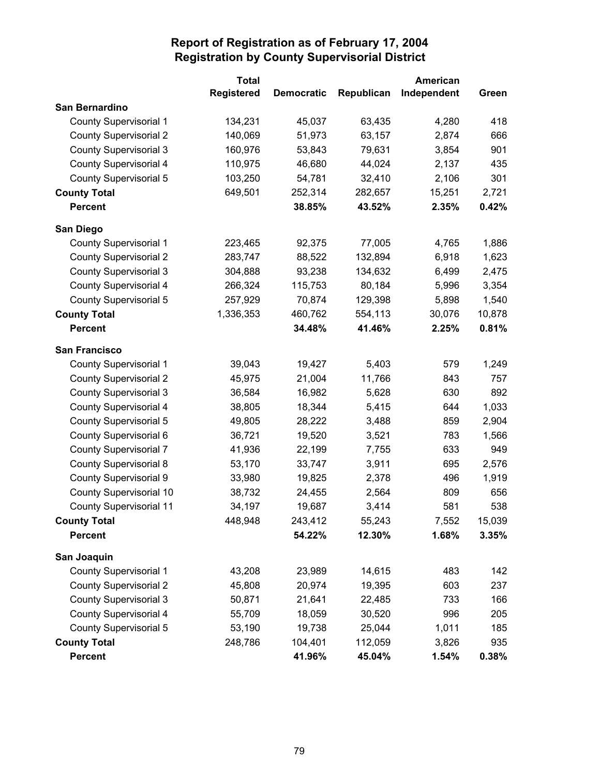|                                | <b>Total</b>      |                   |            | <b>American</b> |        |
|--------------------------------|-------------------|-------------------|------------|-----------------|--------|
|                                | <b>Registered</b> | <b>Democratic</b> | Republican | Independent     | Green  |
| San Bernardino                 |                   |                   |            |                 |        |
| <b>County Supervisorial 1</b>  | 134,231           | 45,037            | 63,435     | 4,280           | 418    |
| <b>County Supervisorial 2</b>  | 140,069           | 51,973            | 63,157     | 2,874           | 666    |
| <b>County Supervisorial 3</b>  | 160,976           | 53,843            | 79,631     | 3,854           | 901    |
| <b>County Supervisorial 4</b>  | 110,975           | 46,680            | 44,024     | 2,137           | 435    |
| County Supervisorial 5         | 103,250           | 54,781            | 32,410     | 2,106           | 301    |
| <b>County Total</b>            | 649,501           | 252,314           | 282,657    | 15,251          | 2,721  |
| <b>Percent</b>                 |                   | 38.85%            | 43.52%     | 2.35%           | 0.42%  |
| San Diego                      |                   |                   |            |                 |        |
| <b>County Supervisorial 1</b>  | 223,465           | 92,375            | 77,005     | 4,765           | 1,886  |
| <b>County Supervisorial 2</b>  | 283,747           | 88,522            | 132,894    | 6,918           | 1,623  |
| <b>County Supervisorial 3</b>  | 304,888           | 93,238            | 134,632    | 6,499           | 2,475  |
| <b>County Supervisorial 4</b>  | 266,324           | 115,753           | 80,184     | 5,996           | 3,354  |
| County Supervisorial 5         | 257,929           | 70,874            | 129,398    | 5,898           | 1,540  |
| <b>County Total</b>            | 1,336,353         | 460,762           | 554,113    | 30,076          | 10,878 |
| <b>Percent</b>                 |                   | 34.48%            | 41.46%     | 2.25%           | 0.81%  |
| <b>San Francisco</b>           |                   |                   |            |                 |        |
| <b>County Supervisorial 1</b>  | 39,043            | 19,427            | 5,403      | 579             | 1,249  |
| <b>County Supervisorial 2</b>  | 45,975            | 21,004            | 11,766     | 843             | 757    |
| <b>County Supervisorial 3</b>  | 36,584            | 16,982            | 5,628      | 630             | 892    |
| County Supervisorial 4         | 38,805            | 18,344            | 5,415      | 644             | 1,033  |
| County Supervisorial 5         | 49,805            | 28,222            | 3,488      | 859             | 2,904  |
| County Supervisorial 6         | 36,721            | 19,520            | 3,521      | 783             | 1,566  |
| <b>County Supervisorial 7</b>  | 41,936            | 22,199            | 7,755      | 633             | 949    |
| <b>County Supervisorial 8</b>  | 53,170            | 33,747            | 3,911      | 695             | 2,576  |
| County Supervisorial 9         | 33,980            | 19,825            | 2,378      | 496             | 1,919  |
| <b>County Supervisorial 10</b> | 38,732            | 24,455            | 2,564      | 809             | 656    |
| <b>County Supervisorial 11</b> | 34,197            | 19,687            | 3,414      | 581             | 538    |
| <b>County Total</b>            | 448,948           | 243,412           | 55,243     | 7,552           | 15,039 |
| Percent                        |                   | 54.22%            | 12.30%     | 1.68%           | 3.35%  |
| San Joaquin                    |                   |                   |            |                 |        |
| <b>County Supervisorial 1</b>  | 43,208            | 23,989            | 14,615     | 483             | 142    |
| <b>County Supervisorial 2</b>  | 45,808            | 20,974            | 19,395     | 603             | 237    |
| <b>County Supervisorial 3</b>  | 50,871            | 21,641            | 22,485     | 733             | 166    |
| <b>County Supervisorial 4</b>  | 55,709            | 18,059            | 30,520     | 996             | 205    |
| County Supervisorial 5         | 53,190            | 19,738            | 25,044     | 1,011           | 185    |
| <b>County Total</b>            | 248,786           | 104,401           | 112,059    | 3,826           | 935    |
| Percent                        |                   | 41.96%            | 45.04%     | 1.54%           | 0.38%  |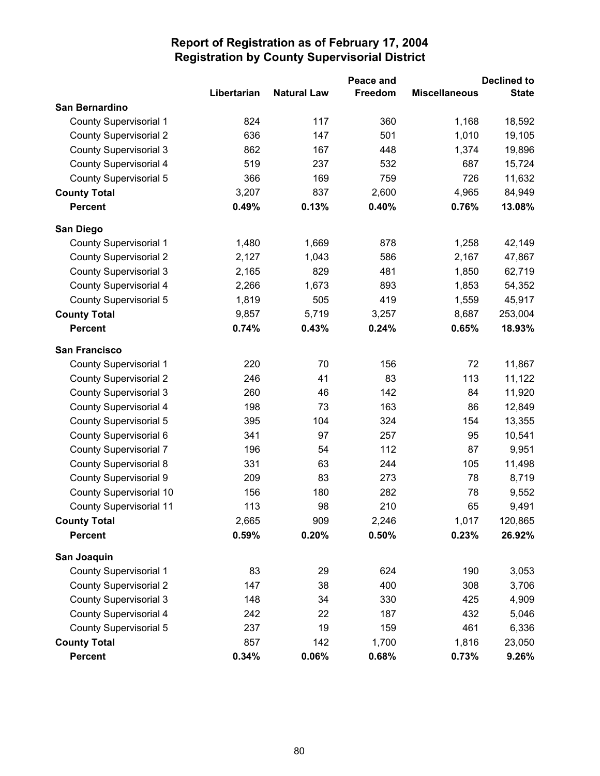|                                |             |                    | Peace and |                      | <b>Declined to</b> |
|--------------------------------|-------------|--------------------|-----------|----------------------|--------------------|
|                                | Libertarian | <b>Natural Law</b> | Freedom   | <b>Miscellaneous</b> | <b>State</b>       |
| <b>San Bernardino</b>          |             |                    |           |                      |                    |
| <b>County Supervisorial 1</b>  | 824         | 117                | 360       | 1,168                | 18,592             |
| <b>County Supervisorial 2</b>  | 636         | 147                | 501       | 1,010                | 19,105             |
| <b>County Supervisorial 3</b>  | 862         | 167                | 448       | 1,374                | 19,896             |
| <b>County Supervisorial 4</b>  | 519         | 237                | 532       | 687                  | 15,724             |
| County Supervisorial 5         | 366         | 169                | 759       | 726                  | 11,632             |
| <b>County Total</b>            | 3,207       | 837                | 2,600     | 4,965                | 84,949             |
| <b>Percent</b>                 | 0.49%       | 0.13%              | 0.40%     | 0.76%                | 13.08%             |
| San Diego                      |             |                    |           |                      |                    |
| <b>County Supervisorial 1</b>  | 1,480       | 1,669              | 878       | 1,258                | 42,149             |
| <b>County Supervisorial 2</b>  | 2,127       | 1,043              | 586       | 2,167                | 47,867             |
| <b>County Supervisorial 3</b>  | 2,165       | 829                | 481       | 1,850                | 62,719             |
| <b>County Supervisorial 4</b>  | 2,266       | 1,673              | 893       | 1,853                | 54,352             |
| County Supervisorial 5         | 1,819       | 505                | 419       | 1,559                | 45,917             |
| <b>County Total</b>            | 9,857       | 5,719              | 3,257     | 8,687                | 253,004            |
| <b>Percent</b>                 | 0.74%       | 0.43%              | 0.24%     | 0.65%                | 18.93%             |
| <b>San Francisco</b>           |             |                    |           |                      |                    |
| <b>County Supervisorial 1</b>  | 220         | 70                 | 156       | 72                   | 11,867             |
| <b>County Supervisorial 2</b>  | 246         | 41                 | 83        | 113                  | 11,122             |
| <b>County Supervisorial 3</b>  | 260         | 46                 | 142       | 84                   | 11,920             |
| <b>County Supervisorial 4</b>  | 198         | 73                 | 163       | 86                   | 12,849             |
| County Supervisorial 5         | 395         | 104                | 324       | 154                  | 13,355             |
| County Supervisorial 6         | 341         | 97                 | 257       | 95                   | 10,541             |
| <b>County Supervisorial 7</b>  | 196         | 54                 | 112       | 87                   | 9,951              |
| <b>County Supervisorial 8</b>  | 331         | 63                 | 244       | 105                  | 11,498             |
| County Supervisorial 9         | 209         | 83                 | 273       | 78                   | 8,719              |
| County Supervisorial 10        | 156         | 180                | 282       | 78                   | 9,552              |
| <b>County Supervisorial 11</b> | 113         | 98                 | 210       | 65                   | 9,491              |
| <b>County Total</b>            | 2,665       | 909                | 2,246     | 1,017                | 120,865            |
| <b>Percent</b>                 | 0.59%       | 0.20%              | 0.50%     | 0.23%                | 26.92%             |
| San Joaquin                    |             |                    |           |                      |                    |
| <b>County Supervisorial 1</b>  | 83          | 29                 | 624       | 190                  | 3,053              |
| <b>County Supervisorial 2</b>  | 147         | 38                 | 400       | 308                  | 3,706              |
| <b>County Supervisorial 3</b>  | 148         | 34                 | 330       | 425                  | 4,909              |
| <b>County Supervisorial 4</b>  | 242         | 22                 | 187       | 432                  | 5,046              |
| County Supervisorial 5         | 237         | 19                 | 159       | 461                  | 6,336              |
| <b>County Total</b>            | 857         | 142                | 1,700     | 1,816                | 23,050             |
| <b>Percent</b>                 | 0.34%       | 0.06%              | 0.68%     | 0.73%                | 9.26%              |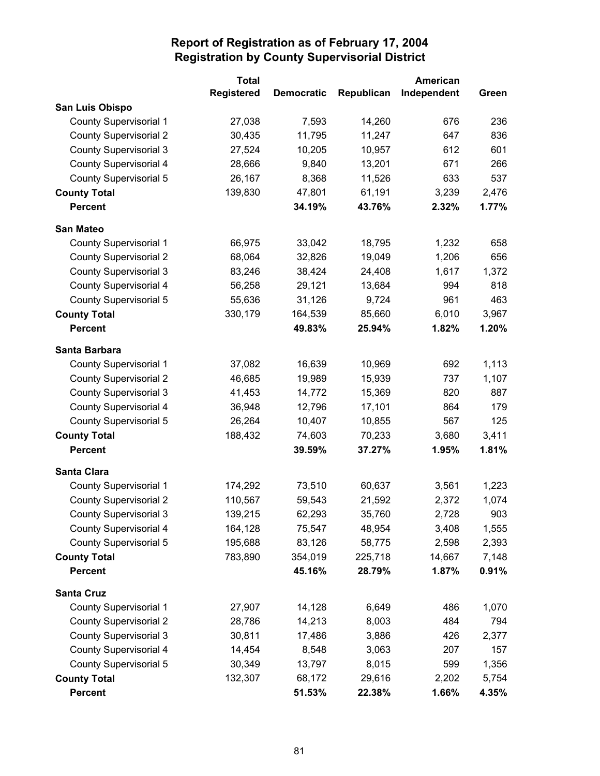|                               | <b>Total</b>      |                   | <b>American</b> |             |       |
|-------------------------------|-------------------|-------------------|-----------------|-------------|-------|
|                               | <b>Registered</b> | <b>Democratic</b> | Republican      | Independent | Green |
| San Luis Obispo               |                   |                   |                 |             |       |
| <b>County Supervisorial 1</b> | 27,038            | 7,593             | 14,260          | 676         | 236   |
| <b>County Supervisorial 2</b> | 30,435            | 11,795            | 11,247          | 647         | 836   |
| <b>County Supervisorial 3</b> | 27,524            | 10,205            | 10,957          | 612         | 601   |
| <b>County Supervisorial 4</b> | 28,666            | 9,840             | 13,201          | 671         | 266   |
| County Supervisorial 5        | 26,167            | 8,368             | 11,526          | 633         | 537   |
| <b>County Total</b>           | 139,830           | 47,801            | 61,191          | 3,239       | 2,476 |
| <b>Percent</b>                |                   | 34.19%            | 43.76%          | 2.32%       | 1.77% |
| <b>San Mateo</b>              |                   |                   |                 |             |       |
| <b>County Supervisorial 1</b> | 66,975            | 33,042            | 18,795          | 1,232       | 658   |
| <b>County Supervisorial 2</b> | 68,064            | 32,826            | 19,049          | 1,206       | 656   |
| <b>County Supervisorial 3</b> | 83,246            | 38,424            | 24,408          | 1,617       | 1,372 |
| <b>County Supervisorial 4</b> | 56,258            | 29,121            | 13,684          | 994         | 818   |
| County Supervisorial 5        | 55,636            | 31,126            | 9,724           | 961         | 463   |
| <b>County Total</b>           | 330,179           | 164,539           | 85,660          | 6,010       | 3,967 |
| <b>Percent</b>                |                   | 49.83%            | 25.94%          | 1.82%       | 1.20% |
| Santa Barbara                 |                   |                   |                 |             |       |
| <b>County Supervisorial 1</b> | 37,082            | 16,639            | 10,969          | 692         | 1,113 |
| <b>County Supervisorial 2</b> | 46,685            | 19,989            | 15,939          | 737         | 1,107 |
| <b>County Supervisorial 3</b> | 41,453            | 14,772            | 15,369          | 820         | 887   |
| <b>County Supervisorial 4</b> | 36,948            | 12,796            | 17,101          | 864         | 179   |
| County Supervisorial 5        | 26,264            | 10,407            | 10,855          | 567         | 125   |
| <b>County Total</b>           | 188,432           | 74,603            | 70,233          | 3,680       | 3,411 |
| <b>Percent</b>                |                   | 39.59%            | 37.27%          | 1.95%       | 1.81% |
| <b>Santa Clara</b>            |                   |                   |                 |             |       |
| <b>County Supervisorial 1</b> | 174,292           | 73,510            | 60,637          | 3,561       | 1,223 |
| <b>County Supervisorial 2</b> | 110,567           | 59,543            | 21,592          | 2,372       | 1,074 |
| <b>County Supervisorial 3</b> | 139,215           | 62,293            | 35,760          | 2,728       | 903   |
| County Supervisorial 4        | 164,128           | 75,547            | 48,954          | 3,408       | 1,555 |
| County Supervisorial 5        | 195,688           | 83,126            | 58,775          | 2,598       | 2,393 |
| <b>County Total</b>           | 783,890           | 354,019           | 225,718         | 14,667      | 7,148 |
| Percent                       |                   | 45.16%            | 28.79%          | 1.87%       | 0.91% |
| <b>Santa Cruz</b>             |                   |                   |                 |             |       |
| <b>County Supervisorial 1</b> | 27,907            | 14,128            | 6,649           | 486         | 1,070 |
| <b>County Supervisorial 2</b> | 28,786            | 14,213            | 8,003           | 484         | 794   |
| <b>County Supervisorial 3</b> | 30,811            | 17,486            | 3,886           | 426         | 2,377 |
| <b>County Supervisorial 4</b> | 14,454            | 8,548             | 3,063           | 207         | 157   |
| County Supervisorial 5        | 30,349            | 13,797            | 8,015           | 599         | 1,356 |
| <b>County Total</b>           | 132,307           | 68,172            | 29,616          | 2,202       | 5,754 |
| <b>Percent</b>                |                   | 51.53%            | 22.38%          | 1.66%       | 4.35% |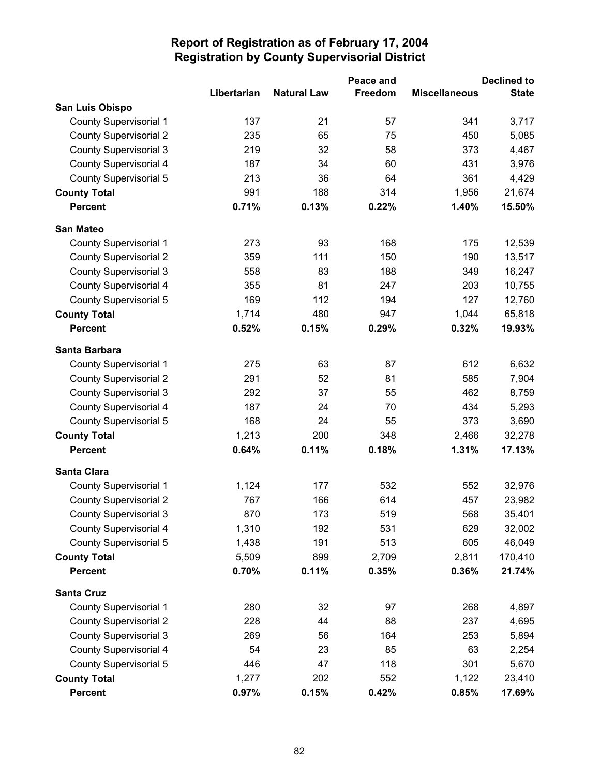|                               |             |                    | Peace and      |                      | <b>Declined to</b> |
|-------------------------------|-------------|--------------------|----------------|----------------------|--------------------|
|                               | Libertarian | <b>Natural Law</b> | <b>Freedom</b> | <b>Miscellaneous</b> | <b>State</b>       |
| San Luis Obispo               |             |                    |                |                      |                    |
| <b>County Supervisorial 1</b> | 137         | 21                 | 57             | 341                  | 3,717              |
| <b>County Supervisorial 2</b> | 235         | 65                 | 75             | 450                  | 5,085              |
| <b>County Supervisorial 3</b> | 219         | 32                 | 58             | 373                  | 4,467              |
| County Supervisorial 4        | 187         | 34                 | 60             | 431                  | 3,976              |
| County Supervisorial 5        | 213         | 36                 | 64             | 361                  | 4,429              |
| <b>County Total</b>           | 991         | 188                | 314            | 1,956                | 21,674             |
| <b>Percent</b>                | 0.71%       | 0.13%              | 0.22%          | 1.40%                | 15.50%             |
| <b>San Mateo</b>              |             |                    |                |                      |                    |
| <b>County Supervisorial 1</b> | 273         | 93                 | 168            | 175                  | 12,539             |
| <b>County Supervisorial 2</b> | 359         | 111                | 150            | 190                  | 13,517             |
| <b>County Supervisorial 3</b> | 558         | 83                 | 188            | 349                  | 16,247             |
| County Supervisorial 4        | 355         | 81                 | 247            | 203                  | 10,755             |
| County Supervisorial 5        | 169         | 112                | 194            | 127                  | 12,760             |
| <b>County Total</b>           | 1,714       | 480                | 947            | 1,044                | 65,818             |
| <b>Percent</b>                | 0.52%       | 0.15%              | 0.29%          | 0.32%                | 19.93%             |
| Santa Barbara                 |             |                    |                |                      |                    |
| <b>County Supervisorial 1</b> | 275         | 63                 | 87             | 612                  | 6,632              |
| <b>County Supervisorial 2</b> | 291         | 52                 | 81             | 585                  | 7,904              |
| <b>County Supervisorial 3</b> | 292         | 37                 | 55             | 462                  | 8,759              |
| <b>County Supervisorial 4</b> | 187         | 24                 | 70             | 434                  | 5,293              |
| County Supervisorial 5        | 168         | 24                 | 55             | 373                  | 3,690              |
| <b>County Total</b>           | 1,213       | 200                | 348            | 2,466                | 32,278             |
| <b>Percent</b>                | 0.64%       | 0.11%              | 0.18%          | 1.31%                | 17.13%             |
| <b>Santa Clara</b>            |             |                    |                |                      |                    |
| <b>County Supervisorial 1</b> | 1,124       | 177                | 532            | 552                  | 32,976             |
| <b>County Supervisorial 2</b> | 767         | 166                | 614            | 457                  | 23,982             |
| <b>County Supervisorial 3</b> | 870         | 173                | 519            | 568                  | 35,401             |
| County Supervisorial 4        | 1,310       | 192                | 531            | 629                  | 32,002             |
| <b>County Supervisorial 5</b> | 1,438       | 191                | 513            | 605                  | 46,049             |
| <b>County Total</b>           | 5,509       | 899                | 2,709          | 2,811                | 170,410            |
| <b>Percent</b>                | 0.70%       | 0.11%              | 0.35%          | 0.36%                | 21.74%             |
| <b>Santa Cruz</b>             |             |                    |                |                      |                    |
| <b>County Supervisorial 1</b> | 280         | 32                 | 97             | 268                  | 4,897              |
| <b>County Supervisorial 2</b> | 228         | 44                 | 88             | 237                  | 4,695              |
| <b>County Supervisorial 3</b> | 269         | 56                 | 164            | 253                  | 5,894              |
| <b>County Supervisorial 4</b> | 54          | 23                 | 85             | 63                   | 2,254              |
| County Supervisorial 5        | 446         | 47                 | 118            | 301                  | 5,670              |
| <b>County Total</b>           | 1,277       | 202                | 552            | 1,122                | 23,410             |
| <b>Percent</b>                | 0.97%       | 0.15%              | 0.42%          | 0.85%                | 17.69%             |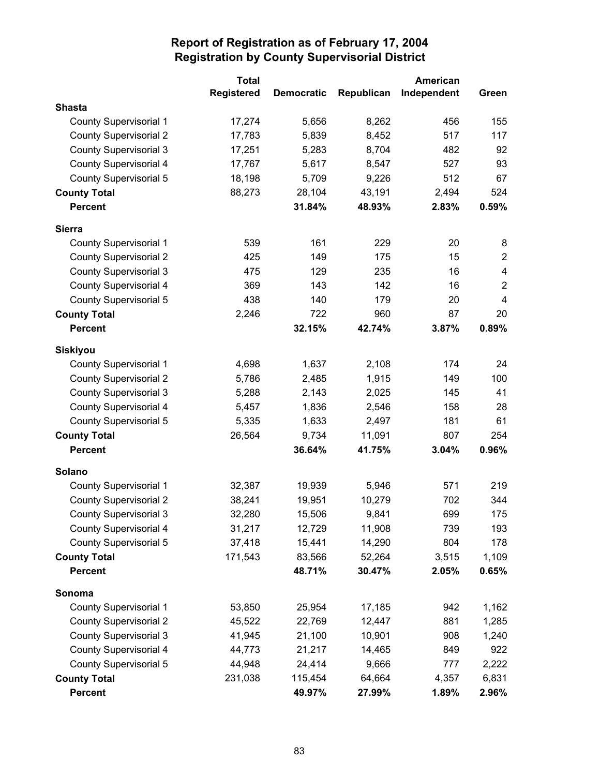|                               | <b>Total</b>      |                   |            | American    |                         |
|-------------------------------|-------------------|-------------------|------------|-------------|-------------------------|
|                               | <b>Registered</b> | <b>Democratic</b> | Republican | Independent | Green                   |
| <b>Shasta</b>                 |                   |                   |            |             |                         |
| <b>County Supervisorial 1</b> | 17,274            | 5,656             | 8,262      | 456         | 155                     |
| <b>County Supervisorial 2</b> | 17,783            | 5,839             | 8,452      | 517         | 117                     |
| <b>County Supervisorial 3</b> | 17,251            | 5,283             | 8,704      | 482         | 92                      |
| <b>County Supervisorial 4</b> | 17,767            | 5,617             | 8,547      | 527         | 93                      |
| <b>County Supervisorial 5</b> | 18,198            | 5,709             | 9,226      | 512         | 67                      |
| <b>County Total</b>           | 88,273            | 28,104            | 43,191     | 2,494       | 524                     |
| <b>Percent</b>                |                   | 31.84%            | 48.93%     | 2.83%       | 0.59%                   |
| <b>Sierra</b>                 |                   |                   |            |             |                         |
| County Supervisorial 1        | 539               | 161               | 229        | 20          | 8                       |
| <b>County Supervisorial 2</b> | 425               | 149               | 175        | 15          | $\overline{2}$          |
| <b>County Supervisorial 3</b> | 475               | 129               | 235        | 16          | $\overline{\mathbf{4}}$ |
| <b>County Supervisorial 4</b> | 369               | 143               | 142        | 16          | $\overline{2}$          |
| <b>County Supervisorial 5</b> | 438               | 140               | 179        | 20          | $\overline{\mathbf{4}}$ |
| <b>County Total</b>           | 2,246             | 722               | 960        | 87          | 20                      |
| <b>Percent</b>                |                   | 32.15%            | 42.74%     | 3.87%       | 0.89%                   |
| <b>Siskiyou</b>               |                   |                   |            |             |                         |
| <b>County Supervisorial 1</b> | 4,698             | 1,637             | 2,108      | 174         | 24                      |
| <b>County Supervisorial 2</b> | 5,786             | 2,485             | 1,915      | 149         | 100                     |
| <b>County Supervisorial 3</b> | 5,288             | 2,143             | 2,025      | 145         | 41                      |
| <b>County Supervisorial 4</b> | 5,457             | 1,836             | 2,546      | 158         | 28                      |
| <b>County Supervisorial 5</b> | 5,335             | 1,633             | 2,497      | 181         | 61                      |
| <b>County Total</b>           | 26,564            | 9,734             | 11,091     | 807         | 254                     |
| <b>Percent</b>                |                   | 36.64%            | 41.75%     | 3.04%       | 0.96%                   |
| Solano                        |                   |                   |            |             |                         |
| <b>County Supervisorial 1</b> | 32,387            | 19,939            | 5,946      | 571         | 219                     |
| <b>County Supervisorial 2</b> | 38,241            | 19,951            | 10,279     | 702         | 344                     |
| <b>County Supervisorial 3</b> | 32,280            | 15,506            | 9,841      | 699         | 175                     |
| County Supervisorial 4        | 31,217            | 12,729            | 11,908     | 739         | 193                     |
| <b>County Supervisorial 5</b> | 37,418            | 15,441            | 14,290     | 804         | 178                     |
| <b>County Total</b>           | 171,543           | 83,566            | 52,264     | 3,515       | 1,109                   |
| <b>Percent</b>                |                   | 48.71%            | 30.47%     | 2.05%       | 0.65%                   |
| Sonoma                        |                   |                   |            |             |                         |
| <b>County Supervisorial 1</b> | 53,850            | 25,954            | 17,185     | 942         | 1,162                   |
| <b>County Supervisorial 2</b> | 45,522            | 22,769            | 12,447     | 881         | 1,285                   |
| <b>County Supervisorial 3</b> | 41,945            | 21,100            | 10,901     | 908         | 1,240                   |
| <b>County Supervisorial 4</b> | 44,773            | 21,217            | 14,465     | 849         | 922                     |
| County Supervisorial 5        | 44,948            | 24,414            | 9,666      | 777         | 2,222                   |
| <b>County Total</b>           | 231,038           | 115,454           | 64,664     | 4,357       | 6,831                   |
| <b>Percent</b>                |                   | 49.97%            | 27.99%     | 1.89%       | 2.96%                   |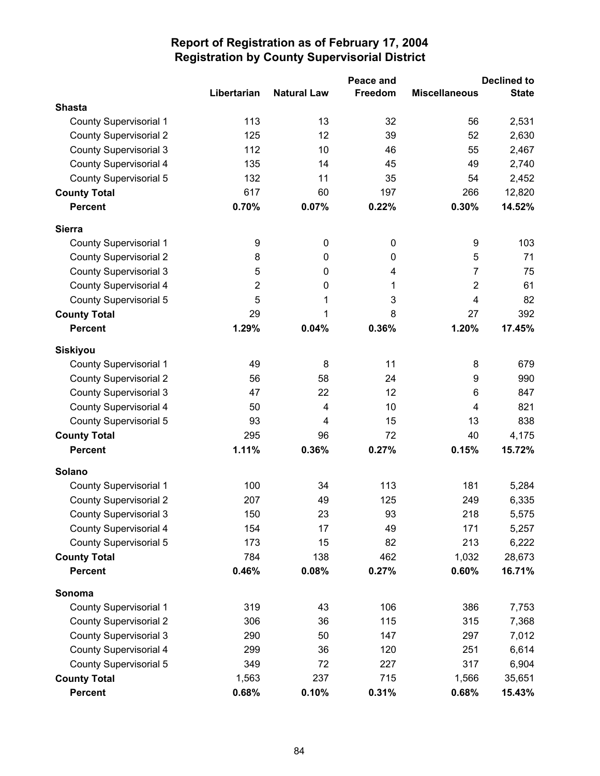|                               |                |                    | Peace and |                      | <b>Declined to</b> |
|-------------------------------|----------------|--------------------|-----------|----------------------|--------------------|
|                               | Libertarian    | <b>Natural Law</b> | Freedom   | <b>Miscellaneous</b> | <b>State</b>       |
| <b>Shasta</b>                 |                |                    |           |                      |                    |
| <b>County Supervisorial 1</b> | 113            | 13                 | 32        | 56                   | 2,531              |
| <b>County Supervisorial 2</b> | 125            | 12                 | 39        | 52                   | 2,630              |
| <b>County Supervisorial 3</b> | 112            | 10                 | 46        | 55                   | 2,467              |
| <b>County Supervisorial 4</b> | 135            | 14                 | 45        | 49                   | 2,740              |
| <b>County Supervisorial 5</b> | 132            | 11                 | 35        | 54                   | 2,452              |
| <b>County Total</b>           | 617            | 60                 | 197       | 266                  | 12,820             |
| <b>Percent</b>                | 0.70%          | 0.07%              | 0.22%     | 0.30%                | 14.52%             |
| <b>Sierra</b>                 |                |                    |           |                      |                    |
| <b>County Supervisorial 1</b> | 9              | 0                  | $\pmb{0}$ | 9                    | 103                |
| <b>County Supervisorial 2</b> | 8              | 0                  | 0         | 5                    | 71                 |
| <b>County Supervisorial 3</b> | 5              | 0                  | 4         | 7                    | 75                 |
| <b>County Supervisorial 4</b> | $\overline{2}$ | 0                  | 1         | $\overline{2}$       | 61                 |
| County Supervisorial 5        | 5              | 1                  | 3         | $\overline{4}$       | 82                 |
| <b>County Total</b>           | 29             | 1                  | 8         | 27                   | 392                |
| <b>Percent</b>                | 1.29%          | 0.04%              | 0.36%     | 1.20%                | 17.45%             |
| <b>Siskiyou</b>               |                |                    |           |                      |                    |
| <b>County Supervisorial 1</b> | 49             | 8                  | 11        | 8                    | 679                |
| <b>County Supervisorial 2</b> | 56             | 58                 | 24        | 9                    | 990                |
| <b>County Supervisorial 3</b> | 47             | 22                 | 12        | 6                    | 847                |
| <b>County Supervisorial 4</b> | 50             | 4                  | 10        | 4                    | 821                |
| County Supervisorial 5        | 93             | 4                  | 15        | 13                   | 838                |
| <b>County Total</b>           | 295            | 96                 | 72        | 40                   | 4,175              |
| <b>Percent</b>                | 1.11%          | 0.36%              | 0.27%     | 0.15%                | 15.72%             |
| Solano                        |                |                    |           |                      |                    |
| <b>County Supervisorial 1</b> | 100            | 34                 | 113       | 181                  | 5,284              |
| <b>County Supervisorial 2</b> | 207            | 49                 | 125       | 249                  | 6,335              |
| <b>County Supervisorial 3</b> | 150            | 23                 | 93        | 218                  | 5,575              |
| <b>County Supervisorial 4</b> | 154            | 17                 | 49        | 171                  | 5,257              |
| <b>County Supervisorial 5</b> | 173            | 15                 | 82        | 213                  | 6,222              |
| <b>County Total</b>           | 784            | 138                | 462       | 1,032                | 28,673             |
| <b>Percent</b>                | 0.46%          | 0.08%              | 0.27%     | 0.60%                | 16.71%             |
| Sonoma                        |                |                    |           |                      |                    |
| <b>County Supervisorial 1</b> | 319            | 43                 | 106       | 386                  | 7,753              |
| <b>County Supervisorial 2</b> | 306            | 36                 | 115       | 315                  | 7,368              |
| <b>County Supervisorial 3</b> | 290            | 50                 | 147       | 297                  | 7,012              |
| County Supervisorial 4        | 299            | 36                 | 120       | 251                  | 6,614              |
| County Supervisorial 5        | 349            | 72                 | 227       | 317                  | 6,904              |
| <b>County Total</b>           | 1,563          | 237                | 715       | 1,566                | 35,651             |
| <b>Percent</b>                | 0.68%          | 0.10%              | 0.31%     | 0.68%                | 15.43%             |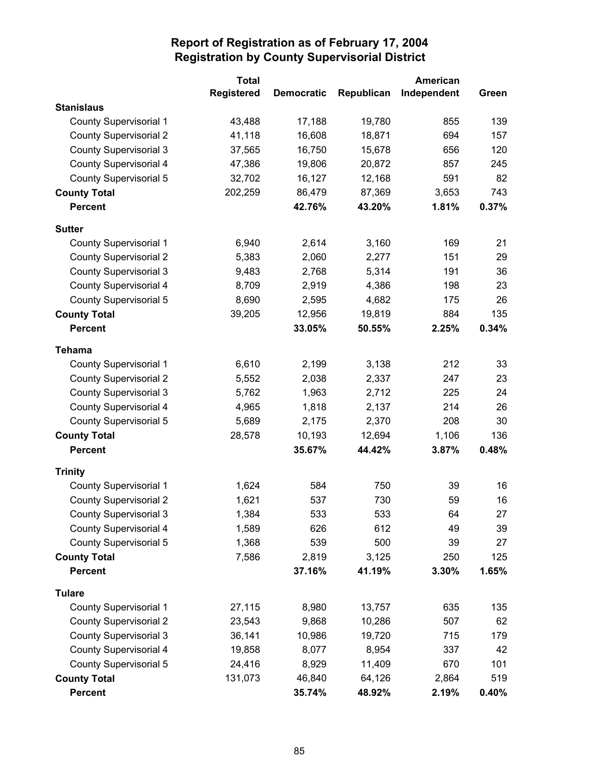|                               | <b>Total</b>      |                   |            | American    |       |
|-------------------------------|-------------------|-------------------|------------|-------------|-------|
|                               | <b>Registered</b> | <b>Democratic</b> | Republican | Independent | Green |
| <b>Stanislaus</b>             |                   |                   |            |             |       |
| <b>County Supervisorial 1</b> | 43,488            | 17,188            | 19,780     | 855         | 139   |
| <b>County Supervisorial 2</b> | 41,118            | 16,608            | 18,871     | 694         | 157   |
| <b>County Supervisorial 3</b> | 37,565            | 16,750            | 15,678     | 656         | 120   |
| <b>County Supervisorial 4</b> | 47,386            | 19,806            | 20,872     | 857         | 245   |
| <b>County Supervisorial 5</b> | 32,702            | 16,127            | 12,168     | 591         | 82    |
| <b>County Total</b>           | 202,259           | 86,479            | 87,369     | 3,653       | 743   |
| <b>Percent</b>                |                   | 42.76%            | 43.20%     | 1.81%       | 0.37% |
| <b>Sutter</b>                 |                   |                   |            |             |       |
| <b>County Supervisorial 1</b> | 6,940             | 2,614             | 3,160      | 169         | 21    |
| <b>County Supervisorial 2</b> | 5,383             | 2,060             | 2,277      | 151         | 29    |
| <b>County Supervisorial 3</b> | 9,483             | 2,768             | 5,314      | 191         | 36    |
| <b>County Supervisorial 4</b> | 8,709             | 2,919             | 4,386      | 198         | 23    |
| <b>County Supervisorial 5</b> | 8,690             | 2,595             | 4,682      | 175         | 26    |
| <b>County Total</b>           | 39,205            | 12,956            | 19,819     | 884         | 135   |
| <b>Percent</b>                |                   | 33.05%            | 50.55%     | 2.25%       | 0.34% |
| <b>Tehama</b>                 |                   |                   |            |             |       |
| <b>County Supervisorial 1</b> | 6,610             | 2,199             | 3,138      | 212         | 33    |
| <b>County Supervisorial 2</b> | 5,552             | 2,038             | 2,337      | 247         | 23    |
| <b>County Supervisorial 3</b> | 5,762             | 1,963             | 2,712      | 225         | 24    |
| <b>County Supervisorial 4</b> | 4,965             | 1,818             | 2,137      | 214         | 26    |
| <b>County Supervisorial 5</b> | 5,689             | 2,175             | 2,370      | 208         | 30    |
| <b>County Total</b>           | 28,578            | 10,193            | 12,694     | 1,106       | 136   |
| <b>Percent</b>                |                   | 35.67%            | 44.42%     | 3.87%       | 0.48% |
| <b>Trinity</b>                |                   |                   |            |             |       |
| <b>County Supervisorial 1</b> | 1,624             | 584               | 750        | 39          | 16    |
| <b>County Supervisorial 2</b> | 1,621             | 537               | 730        | 59          | 16    |
| <b>County Supervisorial 3</b> | 1,384             | 533               | 533        | 64          | 27    |
| County Supervisorial 4        | 1,589             | 626               | 612        | 49          | 39    |
| County Supervisorial 5        | 1,368             | 539               | 500        | 39          | 27    |
| <b>County Total</b>           | 7,586             | 2,819             | 3,125      | 250         | 125   |
| <b>Percent</b>                |                   | 37.16%            | 41.19%     | 3.30%       | 1.65% |
| <b>Tulare</b>                 |                   |                   |            |             |       |
| <b>County Supervisorial 1</b> | 27,115            | 8,980             | 13,757     | 635         | 135   |
| <b>County Supervisorial 2</b> | 23,543            | 9,868             | 10,286     | 507         | 62    |
| <b>County Supervisorial 3</b> | 36,141            | 10,986            | 19,720     | 715         | 179   |
| County Supervisorial 4        | 19,858            | 8,077             | 8,954      | 337         | 42    |
| <b>County Supervisorial 5</b> | 24,416            | 8,929             | 11,409     | 670         | 101   |
| <b>County Total</b>           | 131,073           | 46,840            | 64,126     | 2,864       | 519   |
| <b>Percent</b>                |                   | 35.74%            | 48.92%     | 2.19%       | 0.40% |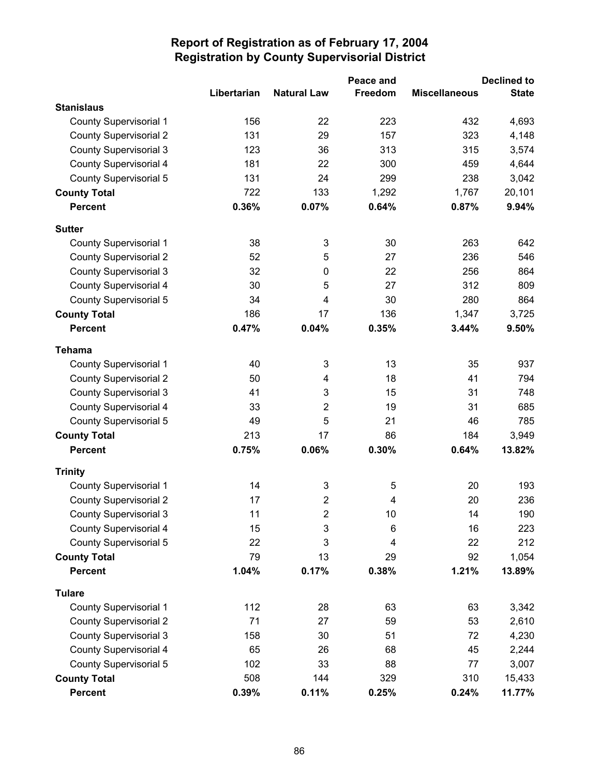|                               |             |                    | Peace and               |                      | <b>Declined to</b> |
|-------------------------------|-------------|--------------------|-------------------------|----------------------|--------------------|
|                               | Libertarian | <b>Natural Law</b> | Freedom                 | <b>Miscellaneous</b> | <b>State</b>       |
| <b>Stanislaus</b>             |             |                    |                         |                      |                    |
| <b>County Supervisorial 1</b> | 156         | 22                 | 223                     | 432                  | 4,693              |
| <b>County Supervisorial 2</b> | 131         | 29                 | 157                     | 323                  | 4,148              |
| <b>County Supervisorial 3</b> | 123         | 36                 | 313                     | 315                  | 3,574              |
| <b>County Supervisorial 4</b> | 181         | 22                 | 300                     | 459                  | 4,644              |
| <b>County Supervisorial 5</b> | 131         | 24                 | 299                     | 238                  | 3,042              |
| <b>County Total</b>           | 722         | 133                | 1,292                   | 1,767                | 20,101             |
| <b>Percent</b>                | 0.36%       | 0.07%              | 0.64%                   | 0.87%                | 9.94%              |
| <b>Sutter</b>                 |             |                    |                         |                      |                    |
| <b>County Supervisorial 1</b> | 38          | 3                  | 30                      | 263                  | 642                |
| <b>County Supervisorial 2</b> | 52          | 5                  | 27                      | 236                  | 546                |
| <b>County Supervisorial 3</b> | 32          | $\mathbf 0$        | 22                      | 256                  | 864                |
| <b>County Supervisorial 4</b> | 30          | 5                  | 27                      | 312                  | 809                |
| <b>County Supervisorial 5</b> | 34          | $\overline{4}$     | 30                      | 280                  | 864                |
| <b>County Total</b>           | 186         | 17                 | 136                     | 1,347                | 3,725              |
| <b>Percent</b>                | 0.47%       | 0.04%              | 0.35%                   | 3.44%                | 9.50%              |
| <b>Tehama</b>                 |             |                    |                         |                      |                    |
| <b>County Supervisorial 1</b> | 40          | 3                  | 13                      | 35                   | 937                |
| <b>County Supervisorial 2</b> | 50          | 4                  | 18                      | 41                   | 794                |
| <b>County Supervisorial 3</b> | 41          | 3                  | 15                      | 31                   | 748                |
| <b>County Supervisorial 4</b> | 33          | $\overline{2}$     | 19                      | 31                   | 685                |
| County Supervisorial 5        | 49          | 5                  | 21                      | 46                   | 785                |
| <b>County Total</b>           | 213         | 17                 | 86                      | 184                  | 3,949              |
| <b>Percent</b>                | 0.75%       | 0.06%              | 0.30%                   | 0.64%                | 13.82%             |
| <b>Trinity</b>                |             |                    |                         |                      |                    |
| <b>County Supervisorial 1</b> | 14          | 3                  | 5                       | 20                   | 193                |
| <b>County Supervisorial 2</b> | 17          | $\overline{2}$     | $\overline{\mathbf{4}}$ | 20                   | 236                |
| <b>County Supervisorial 3</b> | 11          | $\overline{2}$     | 10                      | 14                   | 190                |
| County Supervisorial 4        | 15          | 3                  | 6                       | 16                   | 223                |
| <b>County Supervisorial 5</b> | 22          | 3                  | 4                       | 22                   | 212                |
| <b>County Total</b>           | 79          | 13                 | 29                      | 92                   | 1,054              |
| <b>Percent</b>                | 1.04%       | 0.17%              | 0.38%                   | 1.21%                | 13.89%             |
| <b>Tulare</b>                 |             |                    |                         |                      |                    |
| <b>County Supervisorial 1</b> | 112         | 28                 | 63                      | 63                   | 3,342              |
| <b>County Supervisorial 2</b> | 71          | 27                 | 59                      | 53                   | 2,610              |
| <b>County Supervisorial 3</b> | 158         | 30                 | 51                      | 72                   | 4,230              |
| <b>County Supervisorial 4</b> | 65          | 26                 | 68                      | 45                   | 2,244              |
| <b>County Supervisorial 5</b> | 102         | 33                 | 88                      | 77                   | 3,007              |
| <b>County Total</b>           | 508         | 144                | 329                     | 310                  | 15,433             |
| <b>Percent</b>                | 0.39%       | 0.11%              | 0.25%                   | 0.24%                | 11.77%             |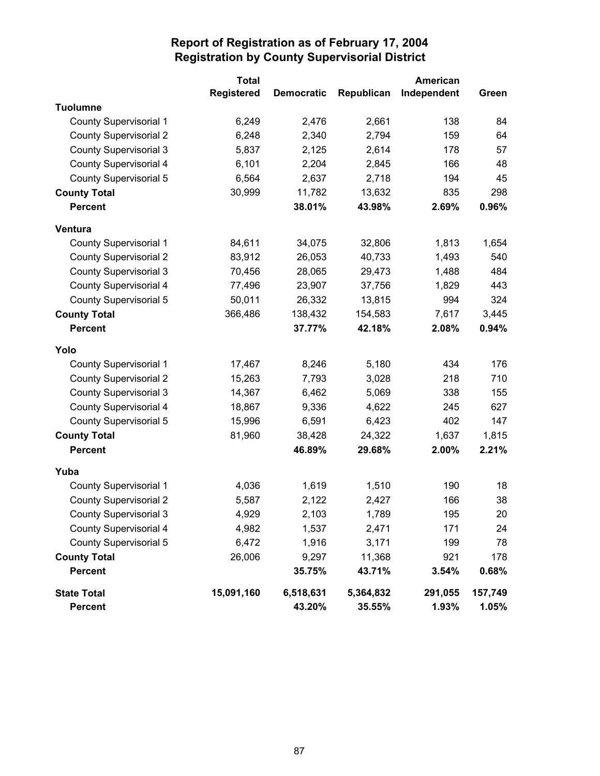|                               | <b>Total</b>      |                   |            | <b>American</b> |         |
|-------------------------------|-------------------|-------------------|------------|-----------------|---------|
|                               | <b>Registered</b> | <b>Democratic</b> | Republican | Independent     | Green   |
| <b>Tuolumne</b>               |                   |                   |            |                 |         |
| <b>County Supervisorial 1</b> | 6,249             | 2,476             | 2,661      | 138             | 84      |
| <b>County Supervisorial 2</b> | 6,248             | 2,340             | 2,794      | 159             | 64      |
| County Supervisorial 3        | 5,837             | 2,125             | 2,614      | 178             | 57      |
| <b>County Supervisorial 4</b> | 6,101             | 2,204             | 2,845      | 166             | 48      |
| <b>County Supervisorial 5</b> | 6,564             | 2,637             | 2,718      | 194             | 45      |
| <b>County Total</b>           | 30,999            | 11,782            | 13,632     | 835             | 298     |
| <b>Percent</b>                |                   | 38.01%            | 43.98%     | 2.69%           | 0.96%   |
| Ventura                       |                   |                   |            |                 |         |
| <b>County Supervisorial 1</b> | 84,611            | 34,075            | 32,806     | 1,813           | 1,654   |
| <b>County Supervisorial 2</b> | 83,912            | 26,053            | 40,733     | 1,493           | 540     |
| <b>County Supervisorial 3</b> | 70,456            | 28,065            | 29,473     | 1,488           | 484     |
| <b>County Supervisorial 4</b> | 77,496            | 23,907            | 37,756     | 1,829           | 443     |
| <b>County Supervisorial 5</b> | 50,011            | 26,332            | 13,815     | 994             | 324     |
| <b>County Total</b>           | 366,486           | 138,432           | 154,583    | 7,617           | 3,445   |
| <b>Percent</b>                |                   | 37.77%            | 42.18%     | 2.08%           | 0.94%   |
| Yolo                          |                   |                   |            |                 |         |
| <b>County Supervisorial 1</b> | 17,467            | 8,246             | 5,180      | 434             | 176     |
| <b>County Supervisorial 2</b> | 15,263            | 7,793             | 3,028      | 218             | 710     |
| <b>County Supervisorial 3</b> | 14,367            | 6,462             | 5,069      | 338             | 155     |
| County Supervisorial 4        | 18,867            | 9,336             | 4,622      | 245             | 627     |
| <b>County Supervisorial 5</b> | 15,996            | 6,591             | 6,423      | 402             | 147     |
| <b>County Total</b>           | 81,960            | 38,428            | 24,322     | 1,637           | 1,815   |
| <b>Percent</b>                |                   | 46.89%            | 29.68%     | 2.00%           | 2.21%   |
| Yuba                          |                   |                   |            |                 |         |
| <b>County Supervisorial 1</b> | 4,036             | 1,619             | 1,510      | 190             | 18      |
| <b>County Supervisorial 2</b> | 5,587             | 2,122             | 2,427      | 166             | 38      |
| <b>County Supervisorial 3</b> | 4,929             | 2,103             | 1,789      | 195             | 20      |
| <b>County Supervisorial 4</b> | 4,982             | 1,537             | 2,471      | 171             | 24      |
| County Supervisorial 5        | 6,472             | 1,916             | 3,171      | 199             | 78      |
| <b>County Total</b>           | 26,006            | 9,297             | 11,368     | 921             | 178     |
| <b>Percent</b>                |                   | 35.75%            | 43.71%     | 3.54%           | 0.68%   |
| <b>State Total</b>            | 15,091,160        | 6,518,631         | 5,364,832  | 291,055         | 157,749 |
| <b>Percent</b>                |                   | 43.20%            | 35.55%     | 1.93%           | 1.05%   |